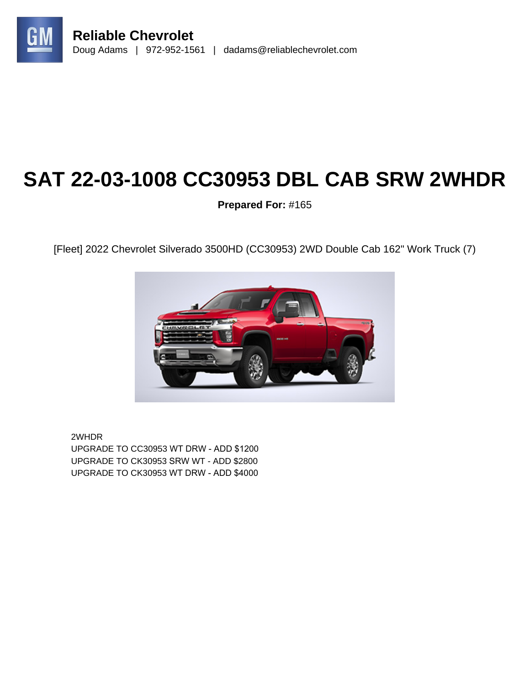

# **SAT 22-03-1008 CC30953 DBL CAB SRW 2WHDR**

**Prepared For:** #165

[Fleet] 2022 Chevrolet Silverado 3500HD (CC30953) 2WD Double Cab 162" Work Truck (7)



2WHDR UPGRADE TO CC30953 WT DRW - ADD \$1200 UPGRADE TO CK30953 SRW WT - ADD \$2800 UPGRADE TO CK30953 WT DRW - ADD \$4000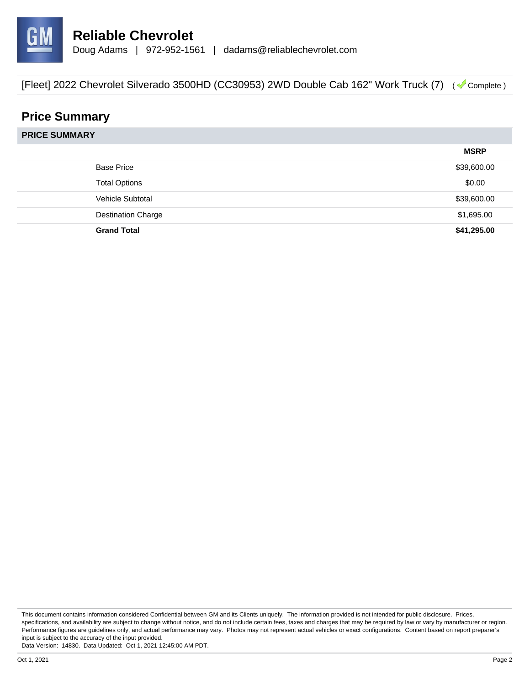

# **Price Summary**

**PRICE SUMMARY**

|                           | <b>MSRP</b> |
|---------------------------|-------------|
| <b>Base Price</b>         | \$39,600.00 |
| <b>Total Options</b>      | \$0.00      |
| Vehicle Subtotal          | \$39,600.00 |
| <b>Destination Charge</b> | \$1,695.00  |
| <b>Grand Total</b>        | \$41,295.00 |

This document contains information considered Confidential between GM and its Clients uniquely. The information provided is not intended for public disclosure. Prices, specifications, and availability are subject to change without notice, and do not include certain fees, taxes and charges that may be required by law or vary by manufacturer or region. Performance figures are guidelines only, and actual performance may vary. Photos may not represent actual vehicles or exact configurations. Content based on report preparer's input is subject to the accuracy of the input provided.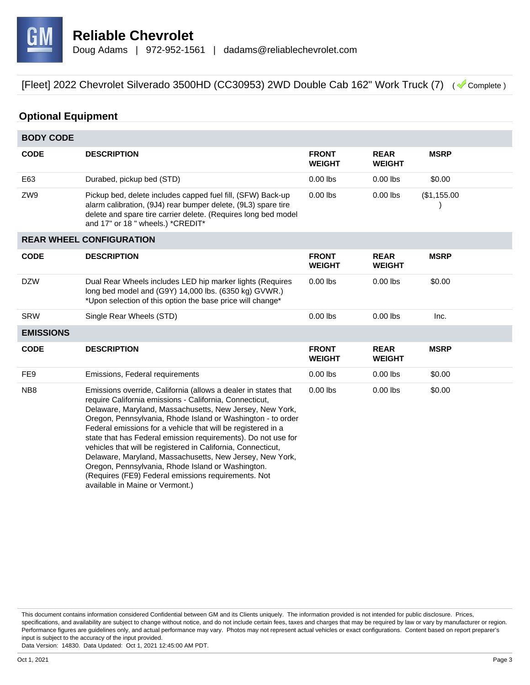

# **Optional Equipment**

| <b>BODY CODE</b> |                                                                                                                                                                                                                                                                                                                                                                                                                                                                                                                                                                                                                                                                  |                               |                              |             |  |
|------------------|------------------------------------------------------------------------------------------------------------------------------------------------------------------------------------------------------------------------------------------------------------------------------------------------------------------------------------------------------------------------------------------------------------------------------------------------------------------------------------------------------------------------------------------------------------------------------------------------------------------------------------------------------------------|-------------------------------|------------------------------|-------------|--|
| <b>CODE</b>      | <b>DESCRIPTION</b>                                                                                                                                                                                                                                                                                                                                                                                                                                                                                                                                                                                                                                               | <b>FRONT</b><br><b>WEIGHT</b> | <b>REAR</b><br><b>WEIGHT</b> | <b>MSRP</b> |  |
| E63              | Durabed, pickup bed (STD)                                                                                                                                                                                                                                                                                                                                                                                                                                                                                                                                                                                                                                        | $0.00$ lbs                    | $0.00$ lbs                   | \$0.00      |  |
| ZW9              | Pickup bed, delete includes capped fuel fill, (SFW) Back-up<br>alarm calibration, (9J4) rear bumper delete, (9L3) spare tire<br>delete and spare tire carrier delete. (Requires long bed model<br>and 17" or 18" wheels.) *CREDIT*                                                                                                                                                                                                                                                                                                                                                                                                                               | $0.00$ lbs                    | $0.00$ lbs                   | (\$1,155.00 |  |
|                  | <b>REAR WHEEL CONFIGURATION</b>                                                                                                                                                                                                                                                                                                                                                                                                                                                                                                                                                                                                                                  |                               |                              |             |  |
| <b>CODE</b>      | <b>DESCRIPTION</b>                                                                                                                                                                                                                                                                                                                                                                                                                                                                                                                                                                                                                                               | <b>FRONT</b><br><b>WEIGHT</b> | <b>REAR</b><br><b>WEIGHT</b> | <b>MSRP</b> |  |
| <b>DZW</b>       | Dual Rear Wheels includes LED hip marker lights (Requires<br>long bed model and (G9Y) 14,000 lbs. (6350 kg) GVWR.)<br>*Upon selection of this option the base price will change*                                                                                                                                                                                                                                                                                                                                                                                                                                                                                 | $0.00$ lbs                    | $0.00$ lbs                   | \$0.00      |  |
| <b>SRW</b>       | Single Rear Wheels (STD)                                                                                                                                                                                                                                                                                                                                                                                                                                                                                                                                                                                                                                         | $0.00$ lbs                    | $0.00$ lbs                   | Inc.        |  |
| <b>EMISSIONS</b> |                                                                                                                                                                                                                                                                                                                                                                                                                                                                                                                                                                                                                                                                  |                               |                              |             |  |
| <b>CODE</b>      | <b>DESCRIPTION</b>                                                                                                                                                                                                                                                                                                                                                                                                                                                                                                                                                                                                                                               | <b>FRONT</b><br><b>WEIGHT</b> | <b>REAR</b><br><b>WEIGHT</b> | <b>MSRP</b> |  |
| FE <sub>9</sub>  | Emissions, Federal requirements                                                                                                                                                                                                                                                                                                                                                                                                                                                                                                                                                                                                                                  | $0.00$ lbs                    | $0.00$ lbs                   | \$0.00      |  |
| NB <sub>8</sub>  | Emissions override, California (allows a dealer in states that<br>require California emissions - California, Connecticut,<br>Delaware, Maryland, Massachusetts, New Jersey, New York,<br>Oregon, Pennsylvania, Rhode Island or Washington - to order<br>Federal emissions for a vehicle that will be registered in a<br>state that has Federal emission requirements). Do not use for<br>vehicles that will be registered in California, Connecticut,<br>Delaware, Maryland, Massachusetts, New Jersey, New York,<br>Oregon, Pennsylvania, Rhode Island or Washington.<br>(Requires (FE9) Federal emissions requirements. Not<br>available in Maine or Vermont.) | $0.00$ lbs                    | $0.00$ lbs                   | \$0.00      |  |

This document contains information considered Confidential between GM and its Clients uniquely. The information provided is not intended for public disclosure. Prices, specifications, and availability are subject to change without notice, and do not include certain fees, taxes and charges that may be required by law or vary by manufacturer or region. Performance figures are guidelines only, and actual performance may vary. Photos may not represent actual vehicles or exact configurations. Content based on report preparer's input is subject to the accuracy of the input provided.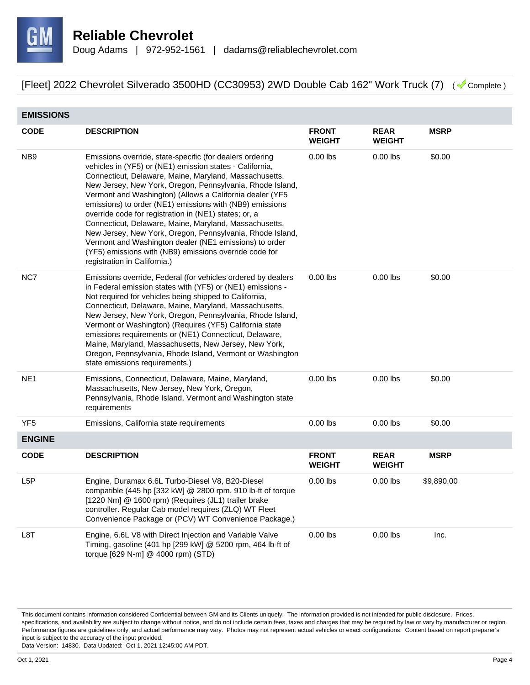

| <b>EMISSIONS</b> |                                                                                                                                                                                                                                                                                                                                                                                                                                                                                                                                                                                                                                                                                                         |                               |                              |             |
|------------------|---------------------------------------------------------------------------------------------------------------------------------------------------------------------------------------------------------------------------------------------------------------------------------------------------------------------------------------------------------------------------------------------------------------------------------------------------------------------------------------------------------------------------------------------------------------------------------------------------------------------------------------------------------------------------------------------------------|-------------------------------|------------------------------|-------------|
| <b>CODE</b>      | <b>DESCRIPTION</b>                                                                                                                                                                                                                                                                                                                                                                                                                                                                                                                                                                                                                                                                                      | <b>FRONT</b><br><b>WEIGHT</b> | <b>REAR</b><br><b>WEIGHT</b> | <b>MSRP</b> |
| NB <sub>9</sub>  | Emissions override, state-specific (for dealers ordering<br>vehicles in (YF5) or (NE1) emission states - California,<br>Connecticut, Delaware, Maine, Maryland, Massachusetts,<br>New Jersey, New York, Oregon, Pennsylvania, Rhode Island,<br>Vermont and Washington) (Allows a California dealer (YF5<br>emissions) to order (NE1) emissions with (NB9) emissions<br>override code for registration in (NE1) states; or, a<br>Connecticut, Delaware, Maine, Maryland, Massachusetts,<br>New Jersey, New York, Oregon, Pennsylvania, Rhode Island,<br>Vermont and Washington dealer (NE1 emissions) to order<br>(YF5) emissions with (NB9) emissions override code for<br>registration in California.) | $0.00$ lbs                    | $0.00$ lbs                   | \$0.00      |
| NC7              | Emissions override, Federal (for vehicles ordered by dealers<br>in Federal emission states with (YF5) or (NE1) emissions -<br>Not required for vehicles being shipped to California,<br>Connecticut, Delaware, Maine, Maryland, Massachusetts,<br>New Jersey, New York, Oregon, Pennsylvania, Rhode Island,<br>Vermont or Washington) (Requires (YF5) California state<br>emissions requirements or (NE1) Connecticut, Delaware,<br>Maine, Maryland, Massachusetts, New Jersey, New York,<br>Oregon, Pennsylvania, Rhode Island, Vermont or Washington<br>state emissions requirements.)                                                                                                                | $0.00$ lbs                    | $0.00$ lbs                   | \$0.00      |
| NE <sub>1</sub>  | Emissions, Connecticut, Delaware, Maine, Maryland,<br>Massachusetts, New Jersey, New York, Oregon,<br>Pennsylvania, Rhode Island, Vermont and Washington state<br>requirements                                                                                                                                                                                                                                                                                                                                                                                                                                                                                                                          | $0.00$ lbs                    | $0.00$ lbs                   | \$0.00      |
| YF <sub>5</sub>  | Emissions, California state requirements                                                                                                                                                                                                                                                                                                                                                                                                                                                                                                                                                                                                                                                                | $0.00$ lbs                    | $0.00$ lbs                   | \$0.00      |
| <b>ENGINE</b>    |                                                                                                                                                                                                                                                                                                                                                                                                                                                                                                                                                                                                                                                                                                         |                               |                              |             |
| <b>CODE</b>      | <b>DESCRIPTION</b>                                                                                                                                                                                                                                                                                                                                                                                                                                                                                                                                                                                                                                                                                      | <b>FRONT</b><br><b>WEIGHT</b> | <b>REAR</b><br><b>WEIGHT</b> | <b>MSRP</b> |
| L <sub>5</sub> P | Engine, Duramax 6.6L Turbo-Diesel V8, B20-Diesel<br>compatible (445 hp [332 kW] $@$ 2800 rpm, 910 lb-ft of torque<br>[1220 Nm] @ 1600 rpm) (Requires (JL1) trailer brake<br>controller. Regular Cab model requires (ZLQ) WT Fleet<br>Convenience Package or (PCV) WT Convenience Package.)                                                                                                                                                                                                                                                                                                                                                                                                              | $0.00$ lbs                    | $0.00$ lbs                   | \$9,890.00  |
| L8T              | Engine, 6.6L V8 with Direct Injection and Variable Valve<br>Timing, gasoline (401 hp [299 kW] @ 5200 rpm, 464 lb-ft of<br>torque [629 N-m] @ 4000 rpm) (STD)                                                                                                                                                                                                                                                                                                                                                                                                                                                                                                                                            | $0.00$ lbs                    | $0.00$ lbs                   | Inc.        |

This document contains information considered Confidential between GM and its Clients uniquely. The information provided is not intended for public disclosure. Prices, specifications, and availability are subject to change without notice, and do not include certain fees, taxes and charges that may be required by law or vary by manufacturer or region. Performance figures are guidelines only, and actual performance may vary. Photos may not represent actual vehicles or exact configurations. Content based on report preparer's input is subject to the accuracy of the input provided.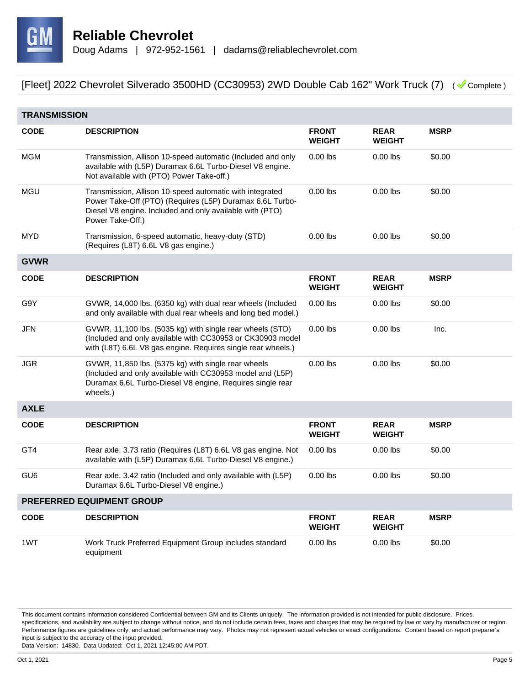

|                 | <b>TRANSMISSION</b>                                                                                                                                                                                  |                               |                              |             |  |
|-----------------|------------------------------------------------------------------------------------------------------------------------------------------------------------------------------------------------------|-------------------------------|------------------------------|-------------|--|
| <b>CODE</b>     | <b>DESCRIPTION</b>                                                                                                                                                                                   | <b>FRONT</b><br><b>WEIGHT</b> | <b>REAR</b><br><b>WEIGHT</b> | <b>MSRP</b> |  |
| <b>MGM</b>      | Transmission, Allison 10-speed automatic (Included and only<br>available with (L5P) Duramax 6.6L Turbo-Diesel V8 engine.<br>Not available with (PTO) Power Take-off.)                                | $0.00$ lbs                    | $0.00$ lbs                   | \$0.00      |  |
| <b>MGU</b>      | Transmission, Allison 10-speed automatic with integrated<br>Power Take-Off (PTO) (Requires (L5P) Duramax 6.6L Turbo-<br>Diesel V8 engine. Included and only available with (PTO)<br>Power Take-Off.) | $0.00$ lbs                    | $0.00$ lbs                   | \$0.00      |  |
| <b>MYD</b>      | Transmission, 6-speed automatic, heavy-duty (STD)<br>(Requires (L8T) 6.6L V8 gas engine.)                                                                                                            | $0.00$ lbs                    | $0.00$ lbs                   | \$0.00      |  |
| <b>GVWR</b>     |                                                                                                                                                                                                      |                               |                              |             |  |
| <b>CODE</b>     | <b>DESCRIPTION</b>                                                                                                                                                                                   | <b>FRONT</b><br><b>WEIGHT</b> | <b>REAR</b><br><b>WEIGHT</b> | <b>MSRP</b> |  |
| G9Y             | GVWR, 14,000 lbs. (6350 kg) with dual rear wheels (Included<br>and only available with dual rear wheels and long bed model.)                                                                         | $0.00$ lbs                    | $0.00$ lbs                   | \$0.00      |  |
| JFN             | GVWR, 11,100 lbs. (5035 kg) with single rear wheels (STD)<br>(Included and only available with CC30953 or CK30903 model<br>with (L8T) 6.6L V8 gas engine. Requires single rear wheels.)              | $0.00$ lbs                    | $0.00$ lbs                   | Inc.        |  |
| <b>JGR</b>      | GVWR, 11,850 lbs. (5375 kg) with single rear wheels<br>(Included and only available with CC30953 model and (L5P)<br>Duramax 6.6L Turbo-Diesel V8 engine. Requires single rear<br>wheels.)            | $0.00$ lbs                    | $0.00$ lbs                   | \$0.00      |  |
| <b>AXLE</b>     |                                                                                                                                                                                                      |                               |                              |             |  |
| <b>CODE</b>     | <b>DESCRIPTION</b>                                                                                                                                                                                   | <b>FRONT</b><br><b>WEIGHT</b> | <b>REAR</b><br><b>WEIGHT</b> | <b>MSRP</b> |  |
| GT4             | Rear axle, 3.73 ratio (Requires (L8T) 6.6L V8 gas engine. Not<br>available with (L5P) Duramax 6.6L Turbo-Diesel V8 engine.)                                                                          | $0.00$ lbs                    | $0.00$ lbs                   | \$0.00      |  |
| GU <sub>6</sub> | Rear axle, 3.42 ratio (Included and only available with (L5P)<br>Duramax 6.6L Turbo-Diesel V8 engine.)                                                                                               | $0.00$ lbs                    | $0.00$ lbs                   | \$0.00      |  |
|                 | PREFERRED EQUIPMENT GROUP                                                                                                                                                                            |                               |                              |             |  |
| <b>CODE</b>     | <b>DESCRIPTION</b>                                                                                                                                                                                   | <b>FRONT</b><br><b>WEIGHT</b> | <b>REAR</b><br><b>WEIGHT</b> | <b>MSRP</b> |  |
| 1WT             | Work Truck Preferred Equipment Group includes standard<br>equipment                                                                                                                                  | $0.00$ lbs                    | $0.00$ lbs                   | \$0.00      |  |

This document contains information considered Confidential between GM and its Clients uniquely. The information provided is not intended for public disclosure. Prices, specifications, and availability are subject to change without notice, and do not include certain fees, taxes and charges that may be required by law or vary by manufacturer or region. Performance figures are guidelines only, and actual performance may vary. Photos may not represent actual vehicles or exact configurations. Content based on report preparer's input is subject to the accuracy of the input provided.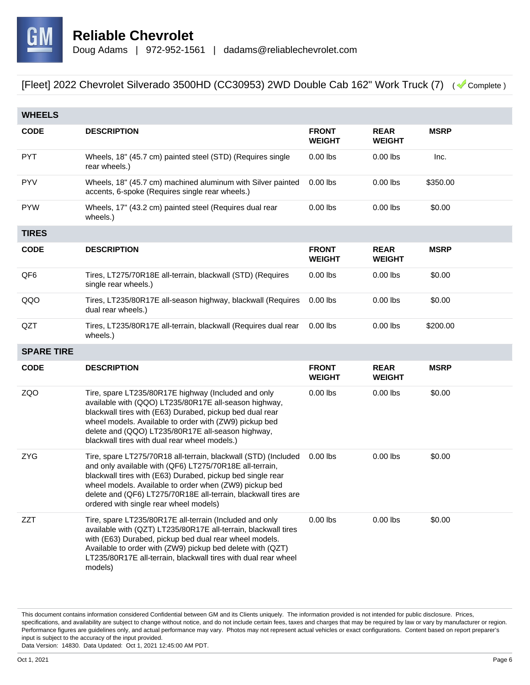

| <b>WHEELS</b>     |                                                                                                                                                                                                                                                                                                                                                               |                               |                              |             |
|-------------------|---------------------------------------------------------------------------------------------------------------------------------------------------------------------------------------------------------------------------------------------------------------------------------------------------------------------------------------------------------------|-------------------------------|------------------------------|-------------|
| <b>CODE</b>       | <b>DESCRIPTION</b>                                                                                                                                                                                                                                                                                                                                            | <b>FRONT</b><br><b>WEIGHT</b> | <b>REAR</b><br><b>WEIGHT</b> | <b>MSRP</b> |
| <b>PYT</b>        | Wheels, 18" (45.7 cm) painted steel (STD) (Requires single<br>rear wheels.)                                                                                                                                                                                                                                                                                   | $0.00$ lbs                    | $0.00$ lbs                   | Inc.        |
| <b>PYV</b>        | Wheels, 18" (45.7 cm) machined aluminum with Silver painted<br>accents, 6-spoke (Requires single rear wheels.)                                                                                                                                                                                                                                                | $0.00$ lbs                    | $0.00$ lbs                   | \$350.00    |
| <b>PYW</b>        | Wheels, 17" (43.2 cm) painted steel (Requires dual rear<br>wheels.)                                                                                                                                                                                                                                                                                           | $0.00$ lbs                    | $0.00$ lbs                   | \$0.00      |
| <b>TIRES</b>      |                                                                                                                                                                                                                                                                                                                                                               |                               |                              |             |
| <b>CODE</b>       | <b>DESCRIPTION</b>                                                                                                                                                                                                                                                                                                                                            | <b>FRONT</b><br><b>WEIGHT</b> | <b>REAR</b><br><b>WEIGHT</b> | <b>MSRP</b> |
| QF6               | Tires, LT275/70R18E all-terrain, blackwall (STD) (Requires<br>single rear wheels.)                                                                                                                                                                                                                                                                            | $0.00$ lbs                    | $0.00$ lbs                   | \$0.00      |
| QQO               | Tires, LT235/80R17E all-season highway, blackwall (Requires<br>dual rear wheels.)                                                                                                                                                                                                                                                                             | $0.00$ lbs                    | $0.00$ lbs                   | \$0.00      |
| QZT               | Tires, LT235/80R17E all-terrain, blackwall (Requires dual rear<br>wheels.)                                                                                                                                                                                                                                                                                    | $0.00$ lbs                    | $0.00$ lbs                   | \$200.00    |
| <b>SPARE TIRE</b> |                                                                                                                                                                                                                                                                                                                                                               |                               |                              |             |
| <b>CODE</b>       | <b>DESCRIPTION</b>                                                                                                                                                                                                                                                                                                                                            | <b>FRONT</b><br><b>WEIGHT</b> | <b>REAR</b><br><b>WEIGHT</b> | <b>MSRP</b> |
| ZQO               | Tire, spare LT235/80R17E highway (Included and only<br>available with (QQO) LT235/80R17E all-season highway,<br>blackwall tires with (E63) Durabed, pickup bed dual rear<br>wheel models. Available to order with (ZW9) pickup bed<br>delete and (QQO) LT235/80R17E all-season highway,<br>blackwall tires with dual rear wheel models.)                      | $0.00$ lbs                    | $0.00$ lbs                   | \$0.00      |
| <b>ZYG</b>        | Tire, spare LT275/70R18 all-terrain, blackwall (STD) (Included<br>and only available with (QF6) LT275/70R18E all-terrain,<br>blackwall tires with (E63) Durabed, pickup bed single rear<br>wheel models. Available to order when (ZW9) pickup bed<br>delete and (QF6) LT275/70R18E all-terrain, blackwall tires are<br>ordered with single rear wheel models) | $0.00$ lbs                    | $0.00$ lbs                   | \$0.00      |
| ZZT               | Tire, spare LT235/80R17E all-terrain (Included and only<br>available with (QZT) LT235/80R17E all-terrain, blackwall tires<br>with (E63) Durabed, pickup bed dual rear wheel models.<br>Available to order with (ZW9) pickup bed delete with (QZT)<br>LT235/80R17E all-terrain, blackwall tires with dual rear wheel<br>models)                                | $0.00$ lbs                    | $0.00$ lbs                   | \$0.00      |

This document contains information considered Confidential between GM and its Clients uniquely. The information provided is not intended for public disclosure. Prices, specifications, and availability are subject to change without notice, and do not include certain fees, taxes and charges that may be required by law or vary by manufacturer or region. Performance figures are guidelines only, and actual performance may vary. Photos may not represent actual vehicles or exact configurations. Content based on report preparer's input is subject to the accuracy of the input provided.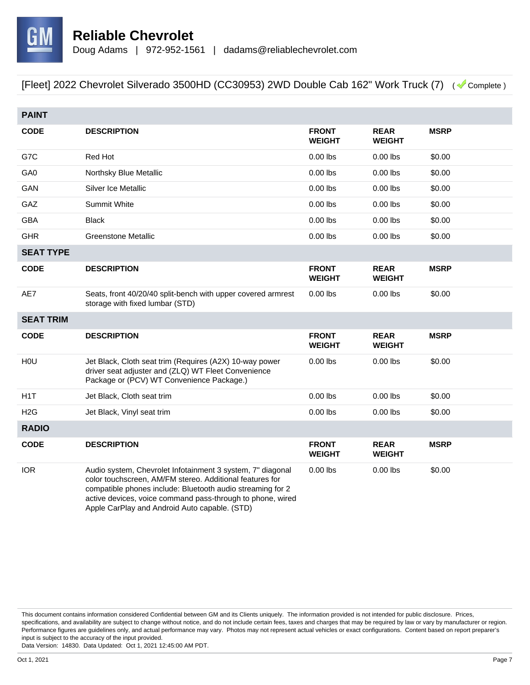

| <b>PAINT</b>     |                                                                                                                                                                                                                                                                                                     |                               |                              |             |
|------------------|-----------------------------------------------------------------------------------------------------------------------------------------------------------------------------------------------------------------------------------------------------------------------------------------------------|-------------------------------|------------------------------|-------------|
| <b>CODE</b>      | <b>DESCRIPTION</b>                                                                                                                                                                                                                                                                                  | <b>FRONT</b><br><b>WEIGHT</b> | <b>REAR</b><br><b>WEIGHT</b> | <b>MSRP</b> |
| G7C              | Red Hot                                                                                                                                                                                                                                                                                             | $0.00$ lbs                    | $0.00$ lbs                   | \$0.00      |
| GA0              | Northsky Blue Metallic                                                                                                                                                                                                                                                                              | $0.00$ lbs                    | $0.00$ lbs                   | \$0.00      |
| GAN              | Silver Ice Metallic                                                                                                                                                                                                                                                                                 | $0.00$ lbs                    | $0.00$ lbs                   | \$0.00      |
| GAZ              | <b>Summit White</b>                                                                                                                                                                                                                                                                                 | $0.00$ lbs                    | $0.00$ lbs                   | \$0.00      |
| <b>GBA</b>       | <b>Black</b>                                                                                                                                                                                                                                                                                        | $0.00$ lbs                    | $0.00$ lbs                   | \$0.00      |
| <b>GHR</b>       | <b>Greenstone Metallic</b>                                                                                                                                                                                                                                                                          | $0.00$ lbs                    | $0.00$ lbs                   | \$0.00      |
| <b>SEAT TYPE</b> |                                                                                                                                                                                                                                                                                                     |                               |                              |             |
| <b>CODE</b>      | <b>DESCRIPTION</b>                                                                                                                                                                                                                                                                                  | <b>FRONT</b><br><b>WEIGHT</b> | <b>REAR</b><br><b>WEIGHT</b> | <b>MSRP</b> |
| AE7              | Seats, front 40/20/40 split-bench with upper covered armrest<br>storage with fixed lumbar (STD)                                                                                                                                                                                                     | $0.00$ lbs                    | $0.00$ lbs                   | \$0.00      |
| <b>SEAT TRIM</b> |                                                                                                                                                                                                                                                                                                     |                               |                              |             |
| <b>CODE</b>      | <b>DESCRIPTION</b>                                                                                                                                                                                                                                                                                  | <b>FRONT</b><br><b>WEIGHT</b> | <b>REAR</b><br><b>WEIGHT</b> | <b>MSRP</b> |
| HOU              | Jet Black, Cloth seat trim (Requires (A2X) 10-way power<br>driver seat adjuster and (ZLQ) WT Fleet Convenience<br>Package or (PCV) WT Convenience Package.)                                                                                                                                         | $0.00$ lbs                    | $0.00$ lbs                   | \$0.00      |
| H <sub>1</sub> T | Jet Black, Cloth seat trim                                                                                                                                                                                                                                                                          | $0.00$ lbs                    | $0.00$ lbs                   | \$0.00      |
| H2G              | Jet Black, Vinyl seat trim                                                                                                                                                                                                                                                                          | $0.00$ lbs                    | $0.00$ lbs                   | \$0.00      |
| <b>RADIO</b>     |                                                                                                                                                                                                                                                                                                     |                               |                              |             |
| <b>CODE</b>      | <b>DESCRIPTION</b>                                                                                                                                                                                                                                                                                  | <b>FRONT</b><br><b>WEIGHT</b> | <b>REAR</b><br><b>WEIGHT</b> | <b>MSRP</b> |
| <b>IOR</b>       | Audio system, Chevrolet Infotainment 3 system, 7" diagonal<br>color touchscreen, AM/FM stereo. Additional features for<br>compatible phones include: Bluetooth audio streaming for 2<br>active devices, voice command pass-through to phone, wired<br>Apple CarPlay and Android Auto capable. (STD) | $0.00$ lbs                    | $0.00$ lbs                   | \$0.00      |

This document contains information considered Confidential between GM and its Clients uniquely. The information provided is not intended for public disclosure. Prices, specifications, and availability are subject to change without notice, and do not include certain fees, taxes and charges that may be required by law or vary by manufacturer or region. Performance figures are guidelines only, and actual performance may vary. Photos may not represent actual vehicles or exact configurations. Content based on report preparer's input is subject to the accuracy of the input provided.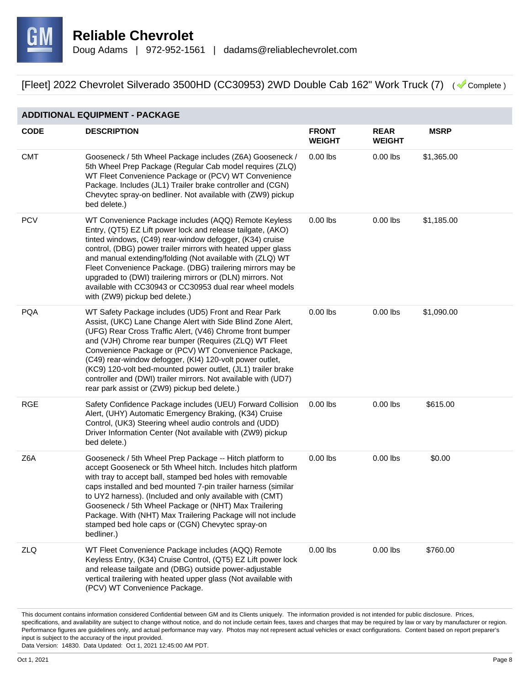

#### **ADDITIONAL EQUIPMENT - PACKAGE CODE DESCRIPTION FRONT WEIGHT REAR WEIGHT MSRP** CMT Gooseneck / 5th Wheel Package includes (Z6A) Gooseneck / 5th Wheel Prep Package (Regular Cab model requires (ZLQ) WT Fleet Convenience Package or (PCV) WT Convenience Package. Includes (JL1) Trailer brake controller and (CGN) Chevytec spray-on bedliner. Not available with (ZW9) pickup bed delete.) 0.00 lbs 0.00 lbs \$1,365.00 PCV WT Convenience Package includes (AQQ) Remote Keyless Entry, (QT5) EZ Lift power lock and release tailgate, (AKO) tinted windows, (C49) rear-window defogger, (K34) cruise control, (DBG) power trailer mirrors with heated upper glass and manual extending/folding (Not available with (ZLQ) WT Fleet Convenience Package. (DBG) trailering mirrors may be upgraded to (DWI) trailering mirrors or (DLN) mirrors. Not available with CC30943 or CC30953 dual rear wheel models with (ZW9) pickup bed delete.) 0.00 lbs 0.00 lbs \$1,185.00 PQA WT Safety Package includes (UD5) Front and Rear Park Assist, (UKC) Lane Change Alert with Side Blind Zone Alert, (UFG) Rear Cross Traffic Alert, (V46) Chrome front bumper and (VJH) Chrome rear bumper (Requires (ZLQ) WT Fleet Convenience Package or (PCV) WT Convenience Package, (C49) rear-window defogger, (KI4) 120-volt power outlet, (KC9) 120-volt bed-mounted power outlet, (JL1) trailer brake controller and (DWI) trailer mirrors. Not available with (UD7) rear park assist or (ZW9) pickup bed delete.) 0.00 lbs 0.00 lbs \$1,090.00 RGE Safety Confidence Package includes (UEU) Forward Collision Alert, (UHY) Automatic Emergency Braking, (K34) Cruise Control, (UK3) Steering wheel audio controls and (UDD) Driver Information Center (Not available with (ZW9) pickup bed delete.) 0.00 lbs 0.00 lbs \$615.00 Z6A Gooseneck / 5th Wheel Prep Package -- Hitch platform to accept Gooseneck or 5th Wheel hitch. Includes hitch platform with tray to accept ball, stamped bed holes with removable caps installed and bed mounted 7-pin trailer harness (similar to UY2 harness). (Included and only available with (CMT) Gooseneck / 5th Wheel Package or (NHT) Max Trailering Package. With (NHT) Max Trailering Package will not include stamped bed hole caps or (CGN) Chevytec spray-on bedliner.) 0.00 lbs 0.00 lbs \$0.00 ZLQ WT Fleet Convenience Package includes (AQQ) Remote Keyless Entry, (K34) Cruise Control, (QT5) EZ Lift power lock and release tailgate and (DBG) outside power-adjustable vertical trailering with heated upper glass (Not available with (PCV) WT Convenience Package. 0.00 lbs 0.00 lbs \$760.00

This document contains information considered Confidential between GM and its Clients uniquely. The information provided is not intended for public disclosure. Prices, specifications, and availability are subject to change without notice, and do not include certain fees, taxes and charges that may be required by law or vary by manufacturer or region. Performance figures are guidelines only, and actual performance may vary. Photos may not represent actual vehicles or exact configurations. Content based on report preparer's input is subject to the accuracy of the input provided.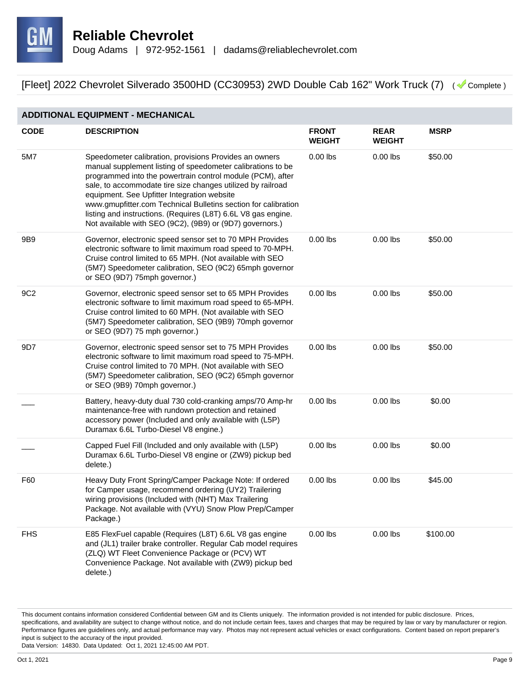

#### **ADDITIONAL EQUIPMENT - MECHANICAL CODE DESCRIPTION FRONT WEIGHT REAR WEIGHT MSRP** 5M7 Speedometer calibration, provisions Provides an owners manual supplement listing of speedometer calibrations to be programmed into the powertrain control module (PCM), after sale, to accommodate tire size changes utilized by railroad equipment. See Upfitter Integration website www.gmupfitter.com Technical Bulletins section for calibration listing and instructions. (Requires (L8T) 6.6L V8 gas engine. Not available with SEO (9C2), (9B9) or (9D7) governors.) 0.00 lbs 0.00 lbs \$50.00 9B9 Governor, electronic speed sensor set to 70 MPH Provides electronic software to limit maximum road speed to 70-MPH. Cruise control limited to 65 MPH. (Not available with SEO (5M7) Speedometer calibration, SEO (9C2) 65mph governor or SEO (9D7) 75mph governor.) 0.00 lbs 0.00 lbs \$50.00 9C2 Governor, electronic speed sensor set to 65 MPH Provides electronic software to limit maximum road speed to 65-MPH. Cruise control limited to 60 MPH. (Not available with SEO (5M7) Speedometer calibration, SEO (9B9) 70mph governor or SEO (9D7) 75 mph governor.) 0.00 lbs 0.00 lbs \$50.00 9D7 Governor, electronic speed sensor set to 75 MPH Provides electronic software to limit maximum road speed to 75-MPH. Cruise control limited to 70 MPH. (Not available with SEO (5M7) Speedometer calibration, SEO (9C2) 65mph governor or SEO (9B9) 70mph governor.) 0.00 lbs 0.00 lbs \$50.00 Battery, heavy-duty dual 730 cold-cranking amps/70 Amp-hr maintenance-free with rundown protection and retained accessory power (Included and only available with (L5P) Duramax 6.6L Turbo-Diesel V8 engine.) 0.00 lbs 0.00 lbs \$0.00 Capped Fuel Fill (Included and only available with (L5P) Duramax 6.6L Turbo-Diesel V8 engine or (ZW9) pickup bed delete.) 0.00 lbs 0.00 lbs \$0.00 F60 Heavy Duty Front Spring/Camper Package Note: If ordered for Camper usage, recommend ordering (UY2) Trailering wiring provisions (Included with (NHT) Max Trailering Package. Not available with (VYU) Snow Plow Prep/Camper Package.) 0.00 lbs 0.00 lbs \$45.00 FHS E85 FlexFuel capable (Requires (L8T) 6.6L V8 gas engine and (JL1) trailer brake controller. Regular Cab model requires (ZLQ) WT Fleet Convenience Package or (PCV) WT Convenience Package. Not available with (ZW9) pickup bed delete.) 0.00 lbs 0.00 lbs \$100.00

This document contains information considered Confidential between GM and its Clients uniquely. The information provided is not intended for public disclosure. Prices, specifications, and availability are subject to change without notice, and do not include certain fees, taxes and charges that may be required by law or vary by manufacturer or region. Performance figures are guidelines only, and actual performance may vary. Photos may not represent actual vehicles or exact configurations. Content based on report preparer's input is subject to the accuracy of the input provided.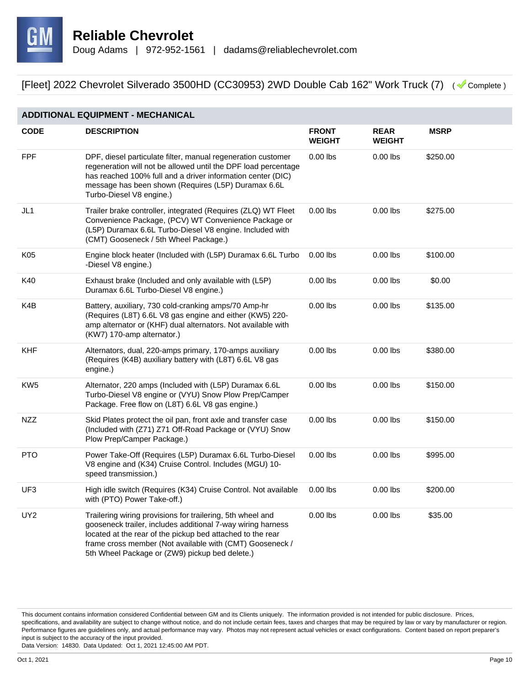

| <b>ADDITIONAL EQUIPMENT - MECHANICAL</b> |                                                                                                                                                                                                                                                                                                       |                               |                              |             |  |
|------------------------------------------|-------------------------------------------------------------------------------------------------------------------------------------------------------------------------------------------------------------------------------------------------------------------------------------------------------|-------------------------------|------------------------------|-------------|--|
| <b>CODE</b>                              | <b>DESCRIPTION</b>                                                                                                                                                                                                                                                                                    | <b>FRONT</b><br><b>WEIGHT</b> | <b>REAR</b><br><b>WEIGHT</b> | <b>MSRP</b> |  |
| <b>FPF</b>                               | DPF, diesel particulate filter, manual regeneration customer<br>regeneration will not be allowed until the DPF load percentage<br>has reached 100% full and a driver information center (DIC)<br>message has been shown (Requires (L5P) Duramax 6.6L<br>Turbo-Diesel V8 engine.)                      | $0.00$ lbs                    | $0.00$ lbs                   | \$250.00    |  |
| JL1                                      | Trailer brake controller, integrated (Requires (ZLQ) WT Fleet<br>Convenience Package, (PCV) WT Convenience Package or<br>(L5P) Duramax 6.6L Turbo-Diesel V8 engine. Included with<br>(CMT) Gooseneck / 5th Wheel Package.)                                                                            | $0.00$ lbs                    | $0.00$ lbs                   | \$275.00    |  |
| K05                                      | Engine block heater (Included with (L5P) Duramax 6.6L Turbo<br>-Diesel V8 engine.)                                                                                                                                                                                                                    | $0.00$ lbs                    | $0.00$ lbs                   | \$100.00    |  |
| K40                                      | Exhaust brake (Included and only available with (L5P)<br>Duramax 6.6L Turbo-Diesel V8 engine.)                                                                                                                                                                                                        | $0.00$ lbs                    | $0.00$ lbs                   | \$0.00      |  |
| K4B                                      | Battery, auxiliary, 730 cold-cranking amps/70 Amp-hr<br>(Requires (L8T) 6.6L V8 gas engine and either (KW5) 220-<br>amp alternator or (KHF) dual alternators. Not available with<br>(KW7) 170-amp alternator.)                                                                                        | $0.00$ lbs                    | $0.00$ lbs                   | \$135.00    |  |
| KHF                                      | Alternators, dual, 220-amps primary, 170-amps auxiliary<br>(Requires (K4B) auxiliary battery with (L8T) 6.6L V8 gas<br>engine.)                                                                                                                                                                       | $0.00$ lbs                    | $0.00$ lbs                   | \$380.00    |  |
| KW <sub>5</sub>                          | Alternator, 220 amps (Included with (L5P) Duramax 6.6L<br>Turbo-Diesel V8 engine or (VYU) Snow Plow Prep/Camper<br>Package. Free flow on (L8T) 6.6L V8 gas engine.)                                                                                                                                   | $0.00$ lbs                    | $0.00$ lbs                   | \$150.00    |  |
| <b>NZZ</b>                               | Skid Plates protect the oil pan, front axle and transfer case<br>(Included with (Z71) Z71 Off-Road Package or (VYU) Snow<br>Plow Prep/Camper Package.)                                                                                                                                                | $0.00$ lbs                    | $0.00$ lbs                   | \$150.00    |  |
| <b>PTO</b>                               | Power Take-Off (Requires (L5P) Duramax 6.6L Turbo-Diesel<br>V8 engine and (K34) Cruise Control. Includes (MGU) 10-<br>speed transmission.)                                                                                                                                                            | $0.00$ lbs                    | $0.00$ lbs                   | \$995.00    |  |
| UF3                                      | High idle switch (Requires (K34) Cruise Control. Not available<br>with (PTO) Power Take-off.)                                                                                                                                                                                                         | $0.00$ lbs                    | $0.00$ lbs                   | \$200.00    |  |
| UY <sub>2</sub>                          | Trailering wiring provisions for trailering, 5th wheel and<br>gooseneck trailer, includes additional 7-way wiring harness<br>located at the rear of the pickup bed attached to the rear<br>frame cross member (Not available with (CMT) Gooseneck /<br>5th Wheel Package or (ZW9) pickup bed delete.) | $0.00$ lbs                    | $0.00$ lbs                   | \$35.00     |  |

This document contains information considered Confidential between GM and its Clients uniquely. The information provided is not intended for public disclosure. Prices, specifications, and availability are subject to change without notice, and do not include certain fees, taxes and charges that may be required by law or vary by manufacturer or region. Performance figures are guidelines only, and actual performance may vary. Photos may not represent actual vehicles or exact configurations. Content based on report preparer's input is subject to the accuracy of the input provided.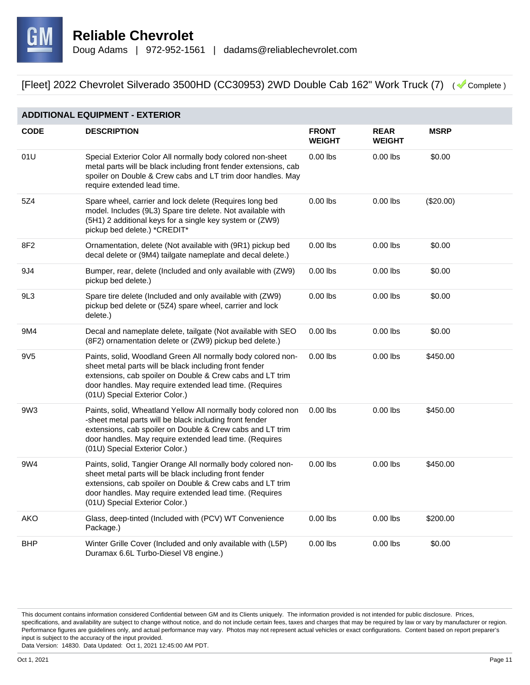

| <b>ADDITIONAL EQUIPMENT - EXTERIOR</b> |                                                                                                                                                                                                                                                                                    |                               |                              |             |  |
|----------------------------------------|------------------------------------------------------------------------------------------------------------------------------------------------------------------------------------------------------------------------------------------------------------------------------------|-------------------------------|------------------------------|-------------|--|
| <b>CODE</b>                            | <b>DESCRIPTION</b>                                                                                                                                                                                                                                                                 | <b>FRONT</b><br><b>WEIGHT</b> | <b>REAR</b><br><b>WEIGHT</b> | <b>MSRP</b> |  |
| 01U                                    | Special Exterior Color All normally body colored non-sheet<br>metal parts will be black including front fender extensions, cab<br>spoiler on Double & Crew cabs and LT trim door handles. May<br>require extended lead time.                                                       | $0.00$ lbs                    | $0.00$ lbs                   | \$0.00      |  |
| 5Z4                                    | Spare wheel, carrier and lock delete (Requires long bed<br>model. Includes (9L3) Spare tire delete. Not available with<br>(5H1) 2 additional keys for a single key system or (ZW9)<br>pickup bed delete.) *CREDIT*                                                                 | $0.00$ lbs                    | $0.00$ lbs                   | (\$20.00)   |  |
| 8F2                                    | Ornamentation, delete (Not available with (9R1) pickup bed<br>decal delete or (9M4) tailgate nameplate and decal delete.)                                                                                                                                                          | $0.00$ lbs                    | $0.00$ lbs                   | \$0.00      |  |
| 9J4                                    | Bumper, rear, delete (Included and only available with (ZW9)<br>pickup bed delete.)                                                                                                                                                                                                | $0.00$ lbs                    | $0.00$ lbs                   | \$0.00      |  |
| 9L3                                    | Spare tire delete (Included and only available with (ZW9)<br>pickup bed delete or (5Z4) spare wheel, carrier and lock<br>delete.)                                                                                                                                                  | $0.00$ lbs                    | $0.00$ lbs                   | \$0.00      |  |
| 9M4                                    | Decal and nameplate delete, tailgate (Not available with SEO<br>(8F2) ornamentation delete or (ZW9) pickup bed delete.)                                                                                                                                                            | $0.00$ lbs                    | $0.00$ lbs                   | \$0.00      |  |
| 9V <sub>5</sub>                        | Paints, solid, Woodland Green All normally body colored non-<br>sheet metal parts will be black including front fender<br>extensions, cab spoiler on Double & Crew cabs and LT trim<br>door handles. May require extended lead time. (Requires<br>(01U) Special Exterior Color.)   | $0.00$ lbs                    | $0.00$ lbs                   | \$450.00    |  |
| 9W3                                    | Paints, solid, Wheatland Yellow All normally body colored non<br>-sheet metal parts will be black including front fender<br>extensions, cab spoiler on Double & Crew cabs and LT trim<br>door handles. May require extended lead time. (Requires<br>(01U) Special Exterior Color.) | $0.00$ lbs                    | $0.00$ lbs                   | \$450.00    |  |
| 9W4                                    | Paints, solid, Tangier Orange All normally body colored non-<br>sheet metal parts will be black including front fender<br>extensions, cab spoiler on Double & Crew cabs and LT trim<br>door handles. May require extended lead time. (Requires<br>(01U) Special Exterior Color.)   | $0.00$ lbs                    | $0.00$ lbs                   | \$450.00    |  |
| <b>AKO</b>                             | Glass, deep-tinted (Included with (PCV) WT Convenience<br>Package.)                                                                                                                                                                                                                | $0.00$ lbs                    | $0.00$ lbs                   | \$200.00    |  |
| <b>BHP</b>                             | Winter Grille Cover (Included and only available with (L5P)<br>Duramax 6.6L Turbo-Diesel V8 engine.)                                                                                                                                                                               | $0.00$ lbs                    | $0.00$ lbs                   | \$0.00      |  |

This document contains information considered Confidential between GM and its Clients uniquely. The information provided is not intended for public disclosure. Prices, specifications, and availability are subject to change without notice, and do not include certain fees, taxes and charges that may be required by law or vary by manufacturer or region. Performance figures are guidelines only, and actual performance may vary. Photos may not represent actual vehicles or exact configurations. Content based on report preparer's input is subject to the accuracy of the input provided.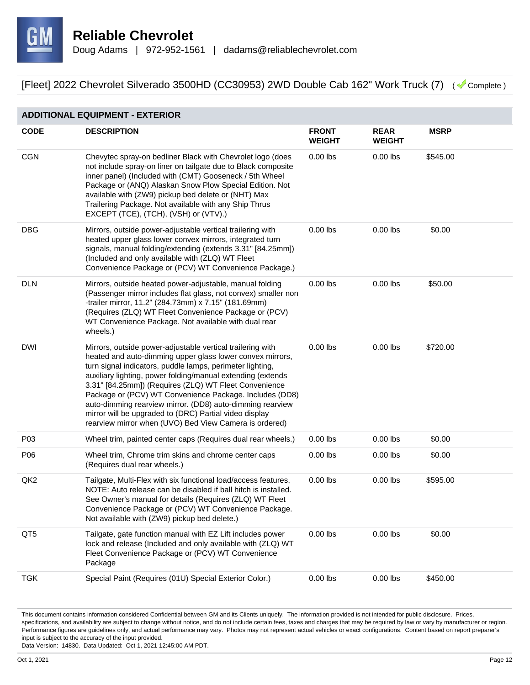

#### **ADDITIONAL EQUIPMENT - EXTERIOR**

| <b>CODE</b>     | <b>DESCRIPTION</b>                                                                                                                                                                                                                                                                                                                                                                                                                                                                                                                                       | <b>FRONT</b><br><b>WEIGHT</b> | <b>REAR</b><br><b>WEIGHT</b> | <b>MSRP</b> |
|-----------------|----------------------------------------------------------------------------------------------------------------------------------------------------------------------------------------------------------------------------------------------------------------------------------------------------------------------------------------------------------------------------------------------------------------------------------------------------------------------------------------------------------------------------------------------------------|-------------------------------|------------------------------|-------------|
| <b>CGN</b>      | Chevytec spray-on bedliner Black with Chevrolet logo (does<br>not include spray-on liner on tailgate due to Black composite<br>inner panel) (Included with (CMT) Gooseneck / 5th Wheel<br>Package or (ANQ) Alaskan Snow Plow Special Edition. Not<br>available with (ZW9) pickup bed delete or (NHT) Max<br>Trailering Package. Not available with any Ship Thrus<br>EXCEPT (TCE), (TCH), (VSH) or (VTV).)                                                                                                                                               | $0.00$ lbs                    | $0.00$ lbs                   | \$545.00    |
| <b>DBG</b>      | Mirrors, outside power-adjustable vertical trailering with<br>heated upper glass lower convex mirrors, integrated turn<br>signals, manual folding/extending (extends 3.31" [84.25mm])<br>(Included and only available with (ZLQ) WT Fleet<br>Convenience Package or (PCV) WT Convenience Package.)                                                                                                                                                                                                                                                       | $0.00$ lbs                    | $0.00$ lbs                   | \$0.00      |
| <b>DLN</b>      | Mirrors, outside heated power-adjustable, manual folding<br>(Passenger mirror includes flat glass, not convex) smaller non<br>-trailer mirror, 11.2" (284.73mm) x 7.15" (181.69mm)<br>(Requires (ZLQ) WT Fleet Convenience Package or (PCV)<br>WT Convenience Package. Not available with dual rear<br>wheels.)                                                                                                                                                                                                                                          | $0.00$ lbs                    | $0.00$ lbs                   | \$50.00     |
| <b>DWI</b>      | Mirrors, outside power-adjustable vertical trailering with<br>heated and auto-dimming upper glass lower convex mirrors,<br>turn signal indicators, puddle lamps, perimeter lighting,<br>auxiliary lighting, power folding/manual extending (extends<br>3.31" [84.25mm]) (Requires (ZLQ) WT Fleet Convenience<br>Package or (PCV) WT Convenience Package. Includes (DD8)<br>auto-dimming rearview mirror. (DD8) auto-dimming rearview<br>mirror will be upgraded to (DRC) Partial video display<br>rearview mirror when (UVO) Bed View Camera is ordered) | $0.00$ lbs                    | $0.00$ lbs                   | \$720.00    |
| P03             | Wheel trim, painted center caps (Requires dual rear wheels.)                                                                                                                                                                                                                                                                                                                                                                                                                                                                                             | $0.00$ lbs                    | $0.00$ lbs                   | \$0.00      |
| P06             | Wheel trim, Chrome trim skins and chrome center caps<br>(Requires dual rear wheels.)                                                                                                                                                                                                                                                                                                                                                                                                                                                                     | $0.00$ lbs                    | $0.00$ lbs                   | \$0.00      |
| QK <sub>2</sub> | Tailgate, Multi-Flex with six functional load/access features,<br>NOTE: Auto release can be disabled if ball hitch is installed.<br>See Owner's manual for details (Requires (ZLQ) WT Fleet<br>Convenience Package or (PCV) WT Convenience Package<br>Not available with (ZW9) pickup bed delete.)                                                                                                                                                                                                                                                       | $0.00$ lbs                    | $0.00$ lbs                   | \$595.00    |
| QT <sub>5</sub> | Tailgate, gate function manual with EZ Lift includes power<br>lock and release (Included and only available with (ZLQ) WT<br>Fleet Convenience Package or (PCV) WT Convenience<br>Package                                                                                                                                                                                                                                                                                                                                                                | $0.00$ lbs                    | $0.00$ lbs                   | \$0.00      |
| <b>TGK</b>      | Special Paint (Requires (01U) Special Exterior Color.)                                                                                                                                                                                                                                                                                                                                                                                                                                                                                                   | $0.00$ lbs                    | $0.00$ lbs                   | \$450.00    |

This document contains information considered Confidential between GM and its Clients uniquely. The information provided is not intended for public disclosure. Prices, specifications, and availability are subject to change without notice, and do not include certain fees, taxes and charges that may be required by law or vary by manufacturer or region. Performance figures are guidelines only, and actual performance may vary. Photos may not represent actual vehicles or exact configurations. Content based on report preparer's input is subject to the accuracy of the input provided.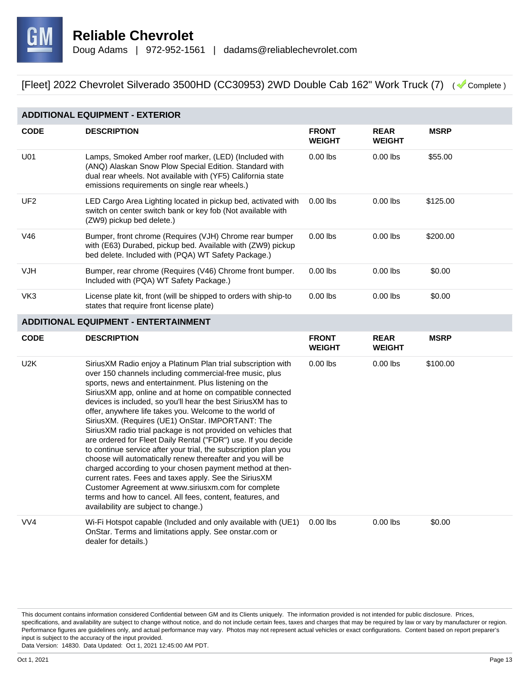

| <b>ADDITIONAL EQUIPMENT - EXTERIOR</b> |                                                                                                                                                                                                                                                                                                                                                                                                                                                                                                                                                                                                                                                                                                                                 |                               |                              |             |  |  |
|----------------------------------------|---------------------------------------------------------------------------------------------------------------------------------------------------------------------------------------------------------------------------------------------------------------------------------------------------------------------------------------------------------------------------------------------------------------------------------------------------------------------------------------------------------------------------------------------------------------------------------------------------------------------------------------------------------------------------------------------------------------------------------|-------------------------------|------------------------------|-------------|--|--|
| <b>CODE</b>                            | <b>DESCRIPTION</b>                                                                                                                                                                                                                                                                                                                                                                                                                                                                                                                                                                                                                                                                                                              | <b>FRONT</b><br>WEIGHT        | <b>REAR</b><br><b>WEIGHT</b> | <b>MSRP</b> |  |  |
| U01                                    | Lamps, Smoked Amber roof marker, (LED) (Included with<br>(ANQ) Alaskan Snow Plow Special Edition. Standard with<br>dual rear wheels. Not available with (YF5) California state<br>emissions requirements on single rear wheels.)                                                                                                                                                                                                                                                                                                                                                                                                                                                                                                | $0.00$ lbs                    | $0.00$ lbs                   | \$55.00     |  |  |
| UF <sub>2</sub>                        | LED Cargo Area Lighting located in pickup bed, activated with<br>switch on center switch bank or key fob (Not available with<br>(ZW9) pickup bed delete.)                                                                                                                                                                                                                                                                                                                                                                                                                                                                                                                                                                       | $0.00$ lbs                    | $0.00$ lbs                   | \$125.00    |  |  |
| V46                                    | Bumper, front chrome (Requires (VJH) Chrome rear bumper<br>with (E63) Durabed, pickup bed. Available with (ZW9) pickup<br>bed delete. Included with (PQA) WT Safety Package.)                                                                                                                                                                                                                                                                                                                                                                                                                                                                                                                                                   | $0.00$ lbs                    | $0.00$ lbs                   | \$200.00    |  |  |
| <b>VJH</b>                             | Bumper, rear chrome (Requires (V46) Chrome front bumper.<br>Included with (PQA) WT Safety Package.)                                                                                                                                                                                                                                                                                                                                                                                                                                                                                                                                                                                                                             | $0.00$ lbs                    | $0.00$ lbs                   | \$0.00      |  |  |
| VK3                                    | License plate kit, front (will be shipped to orders with ship-to<br>states that require front license plate)                                                                                                                                                                                                                                                                                                                                                                                                                                                                                                                                                                                                                    | $0.00$ lbs                    | $0.00$ lbs                   | \$0.00      |  |  |
|                                        | <b>ADDITIONAL EQUIPMENT - ENTERTAINMENT</b>                                                                                                                                                                                                                                                                                                                                                                                                                                                                                                                                                                                                                                                                                     |                               |                              |             |  |  |
| <b>CODE</b>                            | <b>DESCRIPTION</b>                                                                                                                                                                                                                                                                                                                                                                                                                                                                                                                                                                                                                                                                                                              | <b>FRONT</b><br><b>WEIGHT</b> | <b>REAR</b><br><b>WEIGHT</b> | <b>MSRP</b> |  |  |
| U <sub>2</sub> K                       | SiriusXM Radio enjoy a Platinum Plan trial subscription with<br>over 150 channels including commercial-free music, plus<br>sports, news and entertainment. Plus listening on the<br>SiriusXM app, online and at home on compatible connected                                                                                                                                                                                                                                                                                                                                                                                                                                                                                    | $0.00$ lbs                    | $0.00$ lbs                   | \$100.00    |  |  |
|                                        | devices is included, so you'll hear the best SiriusXM has to<br>offer, anywhere life takes you. Welcome to the world of<br>SiriusXM. (Requires (UE1) OnStar. IMPORTANT: The<br>SiriusXM radio trial package is not provided on vehicles that<br>are ordered for Fleet Daily Rental ("FDR") use. If you decide<br>to continue service after your trial, the subscription plan you<br>choose will automatically renew thereafter and you will be<br>charged according to your chosen payment method at then-<br>current rates. Fees and taxes apply. See the SiriusXM<br>Customer Agreement at www.siriusxm.com for complete<br>terms and how to cancel. All fees, content, features, and<br>availability are subject to change.) |                               |                              |             |  |  |

This document contains information considered Confidential between GM and its Clients uniquely. The information provided is not intended for public disclosure. Prices, specifications, and availability are subject to change without notice, and do not include certain fees, taxes and charges that may be required by law or vary by manufacturer or region. Performance figures are guidelines only, and actual performance may vary. Photos may not represent actual vehicles or exact configurations. Content based on report preparer's input is subject to the accuracy of the input provided.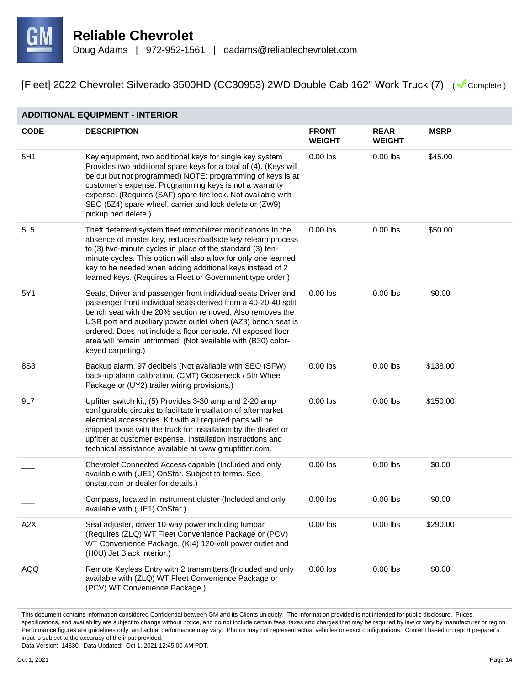

#### **ADDITIONAL EQUIPMENT - INTERIOR**

| <b>CODE</b> | <b>DESCRIPTION</b>                                                                                                                                                                                                                                                                                                                                                                                                | <b>FRONT</b><br><b>WEIGHT</b> | <b>REAR</b><br><b>WEIGHT</b> | <b>MSRP</b> |
|-------------|-------------------------------------------------------------------------------------------------------------------------------------------------------------------------------------------------------------------------------------------------------------------------------------------------------------------------------------------------------------------------------------------------------------------|-------------------------------|------------------------------|-------------|
| 5H1         | Key equipment, two additional keys for single key system<br>Provides two additional spare keys for a total of (4). (Keys will<br>be cut but not programmed) NOTE: programming of keys is at<br>customer's expense. Programming keys is not a warranty<br>expense. (Requires (SAF) spare tire lock. Not available with<br>SEO (5Z4) spare wheel, carrier and lock delete or (ZW9)<br>pickup bed delete.)           | $0.00$ lbs                    | $0.00$ lbs                   | \$45.00     |
| 5L5         | Theft deterrent system fleet immobilizer modifications In the<br>absence of master key, reduces roadside key relearn process<br>to (3) two-minute cycles in place of the standard (3) ten-<br>minute cycles. This option will also allow for only one learned<br>key to be needed when adding additional keys instead of 2<br>learned keys. (Requires a Fleet or Government type order.)                          | $0.00$ lbs                    | $0.00$ lbs                   | \$50.00     |
| 5Y1         | Seats, Driver and passenger front individual seats Driver and<br>passenger front individual seats derived from a 40-20-40 split<br>bench seat with the 20% section removed. Also removes the<br>USB port and auxiliary power outlet when (AZ3) bench seat is<br>ordered. Does not include a floor console. All exposed floor<br>area will remain untrimmed. (Not available with (B30) color-<br>keyed carpeting.) | $0.00$ lbs                    | $0.00$ lbs                   | \$0.00      |
| <b>8S3</b>  | Backup alarm, 97 decibels (Not available with SEO (SFW)<br>back-up alarm calibration, (CMT) Gooseneck / 5th Wheel<br>Package or (UY2) trailer wiring provisions.)                                                                                                                                                                                                                                                 | $0.00$ lbs                    | $0.00$ lbs                   | \$138.00    |
| 9L7         | Upfitter switch kit, (5) Provides 3-30 amp and 2-20 amp<br>configurable circuits to facilitate installation of aftermarket<br>electrical accessories. Kit with all required parts will be<br>shipped loose with the truck for installation by the dealer or<br>upfitter at customer expense. Installation instructions and<br>technical assistance available at www.gmupfitter.com.                               | $0.00$ lbs                    | $0.00$ lbs                   | \$150.00    |
|             | Chevrolet Connected Access capable (Included and only<br>available with (UE1) OnStar. Subject to terms. See<br>onstar.com or dealer for details.)                                                                                                                                                                                                                                                                 | $0.00$ lbs                    | $0.00$ lbs                   | \$0.00      |
|             | Compass, located in instrument cluster (Included and only<br>available with (UE1) OnStar.)                                                                                                                                                                                                                                                                                                                        | $0.00$ lbs                    | $0.00$ lbs                   | \$0.00      |
| A2X         | Seat adjuster, driver 10-way power including lumbar<br>(Requires (ZLQ) WT Fleet Convenience Package or (PCV)<br>WT Convenience Package, (KI4) 120-volt power outlet and<br>(H0U) Jet Black interior.)                                                                                                                                                                                                             | $0.00$ lbs                    | $0.00$ lbs                   | \$290.00    |
| <b>AQQ</b>  | Remote Keyless Entry with 2 transmitters (Included and only<br>available with (ZLQ) WT Fleet Convenience Package or<br>(PCV) WT Convenience Package.)                                                                                                                                                                                                                                                             | $0.00$ lbs                    | $0.00$ lbs                   | \$0.00      |

This document contains information considered Confidential between GM and its Clients uniquely. The information provided is not intended for public disclosure. Prices, specifications, and availability are subject to change without notice, and do not include certain fees, taxes and charges that may be required by law or vary by manufacturer or region. Performance figures are guidelines only, and actual performance may vary. Photos may not represent actual vehicles or exact configurations. Content based on report preparer's input is subject to the accuracy of the input provided.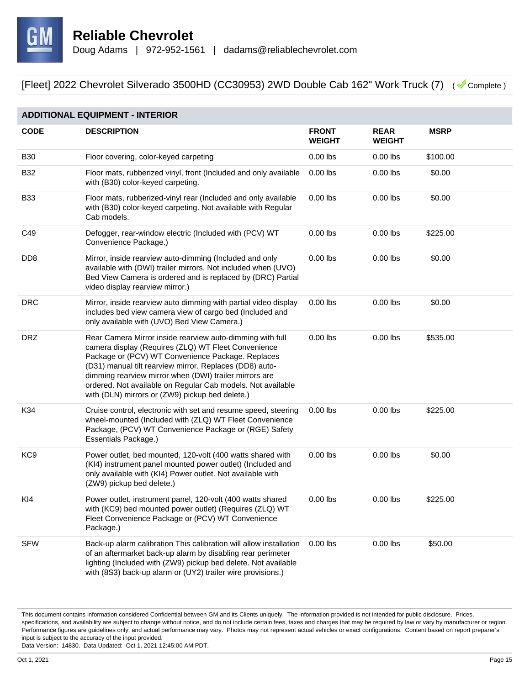

| <b>ADDITIONAL EQUIPMENT - INTERIOR</b> |                                                                                                                                                                                                                                                                                                                                                                                                              |                               |                              |             |  |
|----------------------------------------|--------------------------------------------------------------------------------------------------------------------------------------------------------------------------------------------------------------------------------------------------------------------------------------------------------------------------------------------------------------------------------------------------------------|-------------------------------|------------------------------|-------------|--|
| <b>CODE</b>                            | <b>DESCRIPTION</b>                                                                                                                                                                                                                                                                                                                                                                                           | <b>FRONT</b><br><b>WEIGHT</b> | <b>REAR</b><br><b>WEIGHT</b> | <b>MSRP</b> |  |
| <b>B30</b>                             | Floor covering, color-keyed carpeting                                                                                                                                                                                                                                                                                                                                                                        | $0.00$ lbs                    | $0.00$ lbs                   | \$100.00    |  |
| <b>B32</b>                             | Floor mats, rubberized vinyl, front (Included and only available<br>with (B30) color-keyed carpeting.                                                                                                                                                                                                                                                                                                        | $0.00$ lbs                    | $0.00$ lbs                   | \$0.00      |  |
| <b>B33</b>                             | Floor mats, rubberized-vinyl rear (Included and only available<br>with (B30) color-keyed carpeting. Not available with Regular<br>Cab models.                                                                                                                                                                                                                                                                | $0.00$ lbs                    | $0.00$ lbs                   | \$0.00      |  |
| C49                                    | Defogger, rear-window electric (Included with (PCV) WT<br>Convenience Package.)                                                                                                                                                                                                                                                                                                                              | $0.00$ lbs                    | $0.00$ lbs                   | \$225.00    |  |
| D <sub>D</sub> <sub>8</sub>            | Mirror, inside rearview auto-dimming (Included and only<br>available with (DWI) trailer mirrors. Not included when (UVO)<br>Bed View Camera is ordered and is replaced by (DRC) Partial<br>video display rearview mirror.)                                                                                                                                                                                   | $0.00$ lbs                    | $0.00$ lbs                   | \$0.00      |  |
| <b>DRC</b>                             | Mirror, inside rearview auto dimming with partial video display<br>includes bed view camera view of cargo bed (Included and<br>only available with (UVO) Bed View Camera.)                                                                                                                                                                                                                                   | $0.00$ lbs                    | $0.00$ lbs                   | \$0.00      |  |
| <b>DRZ</b>                             | Rear Camera Mirror inside rearview auto-dimming with full<br>camera display (Requires (ZLQ) WT Fleet Convenience<br>Package or (PCV) WT Convenience Package. Replaces<br>(D31) manual tilt rearview mirror. Replaces (DD8) auto-<br>dimming rearview mirror when (DWI) trailer mirrors are<br>ordered. Not available on Regular Cab models. Not available<br>with (DLN) mirrors or (ZW9) pickup bed delete.) | $0.00$ lbs                    | $0.00$ lbs                   | \$535.00    |  |
| K34                                    | Cruise control, electronic with set and resume speed, steering<br>wheel-mounted (Included with (ZLQ) WT Fleet Convenience<br>Package, (PCV) WT Convenience Package or (RGE) Safety<br>Essentials Package.)                                                                                                                                                                                                   | $0.00$ lbs                    | $0.00$ lbs                   | \$225.00    |  |
| KC <sub>9</sub>                        | Power outlet, bed mounted, 120-volt (400 watts shared with<br>(KI4) instrument panel mounted power outlet) (Included and<br>only available with (KI4) Power outlet. Not available with<br>(ZW9) pickup bed delete.)                                                                                                                                                                                          | $0.00$ lbs                    | $0.00$ lbs                   | \$0.00      |  |
| KI4                                    | Power outlet, instrument panel, 120-volt (400 watts shared<br>with (KC9) bed mounted power outlet) (Requires (ZLQ) WT<br>Fleet Convenience Package or (PCV) WT Convenience<br>Package.)                                                                                                                                                                                                                      | $0.00$ lbs                    | $0.00$ lbs                   | \$225.00    |  |
| <b>SFW</b>                             | Back-up alarm calibration This calibration will allow installation<br>of an aftermarket back-up alarm by disabling rear perimeter<br>lighting (Included with (ZW9) pickup bed delete. Not available<br>with (8S3) back-up alarm or (UY2) trailer wire provisions.)                                                                                                                                           | $0.00$ lbs                    | $0.00$ lbs                   | \$50.00     |  |

This document contains information considered Confidential between GM and its Clients uniquely. The information provided is not intended for public disclosure. Prices, specifications, and availability are subject to change without notice, and do not include certain fees, taxes and charges that may be required by law or vary by manufacturer or region. Performance figures are guidelines only, and actual performance may vary. Photos may not represent actual vehicles or exact configurations. Content based on report preparer's input is subject to the accuracy of the input provided.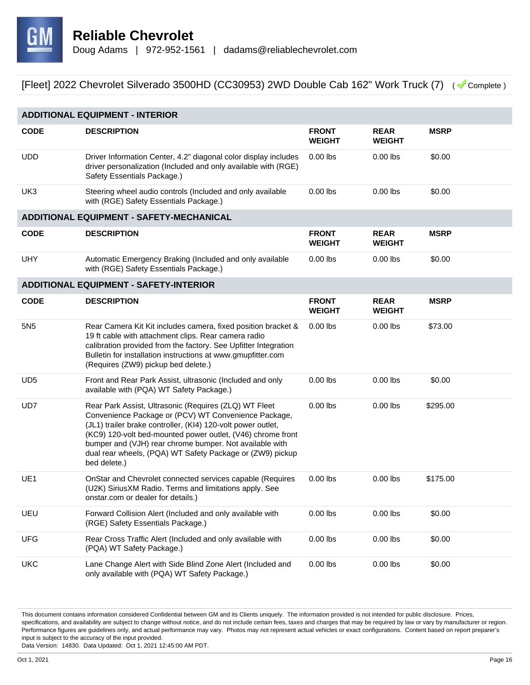

| <b>ADDITIONAL EQUIPMENT - INTERIOR</b> |                                                                                                                                                                                                                                                                                                                                                                                      |                               |                              |             |  |
|----------------------------------------|--------------------------------------------------------------------------------------------------------------------------------------------------------------------------------------------------------------------------------------------------------------------------------------------------------------------------------------------------------------------------------------|-------------------------------|------------------------------|-------------|--|
| <b>CODE</b>                            | <b>DESCRIPTION</b>                                                                                                                                                                                                                                                                                                                                                                   | <b>FRONT</b><br><b>WEIGHT</b> | <b>REAR</b><br><b>WEIGHT</b> | <b>MSRP</b> |  |
| <b>UDD</b>                             | Driver Information Center, 4.2" diagonal color display includes<br>driver personalization (Included and only available with (RGE)<br>Safety Essentials Package.)                                                                                                                                                                                                                     | $0.00$ lbs                    | $0.00$ lbs                   | \$0.00      |  |
| UK3                                    | Steering wheel audio controls (Included and only available<br>with (RGE) Safety Essentials Package.)                                                                                                                                                                                                                                                                                 | $0.00$ lbs                    | $0.00$ lbs                   | \$0.00      |  |
|                                        | <b>ADDITIONAL EQUIPMENT - SAFETY-MECHANICAL</b>                                                                                                                                                                                                                                                                                                                                      |                               |                              |             |  |
| <b>CODE</b>                            | <b>DESCRIPTION</b>                                                                                                                                                                                                                                                                                                                                                                   | <b>FRONT</b><br><b>WEIGHT</b> | <b>REAR</b><br><b>WEIGHT</b> | <b>MSRP</b> |  |
| <b>UHY</b>                             | Automatic Emergency Braking (Included and only available<br>with (RGE) Safety Essentials Package.)                                                                                                                                                                                                                                                                                   | $0.00$ lbs                    | $0.00$ lbs                   | \$0.00      |  |
|                                        | <b>ADDITIONAL EQUIPMENT - SAFETY-INTERIOR</b>                                                                                                                                                                                                                                                                                                                                        |                               |                              |             |  |
| <b>CODE</b>                            | <b>DESCRIPTION</b>                                                                                                                                                                                                                                                                                                                                                                   | <b>FRONT</b><br><b>WEIGHT</b> | <b>REAR</b><br><b>WEIGHT</b> | <b>MSRP</b> |  |
| 5N <sub>5</sub>                        | Rear Camera Kit Kit includes camera, fixed position bracket &<br>19 ft cable with attachment clips. Rear camera radio<br>calibration provided from the factory. See Upfitter Integration<br>Bulletin for installation instructions at www.gmupfitter.com<br>(Requires (ZW9) pickup bed delete.)                                                                                      | $0.00$ lbs                    | $0.00$ lbs                   | \$73.00     |  |
| UD <sub>5</sub>                        | Front and Rear Park Assist, ultrasonic (Included and only<br>available with (PQA) WT Safety Package.)                                                                                                                                                                                                                                                                                | $0.00$ lbs                    | $0.00$ lbs                   | \$0.00      |  |
| UD7                                    | Rear Park Assist, Ultrasonic (Requires (ZLQ) WT Fleet<br>Convenience Package or (PCV) WT Convenience Package,<br>(JL1) trailer brake controller, (KI4) 120-volt power outlet,<br>(KC9) 120-volt bed-mounted power outlet, (V46) chrome front<br>bumper and (VJH) rear chrome bumper. Not available with<br>dual rear wheels, (PQA) WT Safety Package or (ZW9) pickup<br>bed delete.) | $0.00$ lbs                    | $0.00$ lbs                   | \$295.00    |  |
| UE <sub>1</sub>                        | OnStar and Chevrolet connected services capable (Requires<br>(U2K) SiriusXM Radio. Terms and limitations apply. See<br>onstar.com or dealer for details.)                                                                                                                                                                                                                            | $0.00$ lbs                    | $0.00$ lbs                   | \$175.00    |  |
| UEU                                    | Forward Collision Alert (Included and only available with<br>(RGE) Safety Essentials Package.)                                                                                                                                                                                                                                                                                       | $0.00$ lbs                    | $0.00$ lbs                   | \$0.00      |  |
| <b>UFG</b>                             | Rear Cross Traffic Alert (Included and only available with<br>(PQA) WT Safety Package.)                                                                                                                                                                                                                                                                                              | $0.00$ lbs                    | $0.00$ lbs                   | \$0.00      |  |
| <b>UKC</b>                             | Lane Change Alert with Side Blind Zone Alert (Included and<br>only available with (PQA) WT Safety Package.)                                                                                                                                                                                                                                                                          | $0.00$ lbs                    | $0.00$ lbs                   | \$0.00      |  |

This document contains information considered Confidential between GM and its Clients uniquely. The information provided is not intended for public disclosure. Prices, specifications, and availability are subject to change without notice, and do not include certain fees, taxes and charges that may be required by law or vary by manufacturer or region. Performance figures are guidelines only, and actual performance may vary. Photos may not represent actual vehicles or exact configurations. Content based on report preparer's input is subject to the accuracy of the input provided.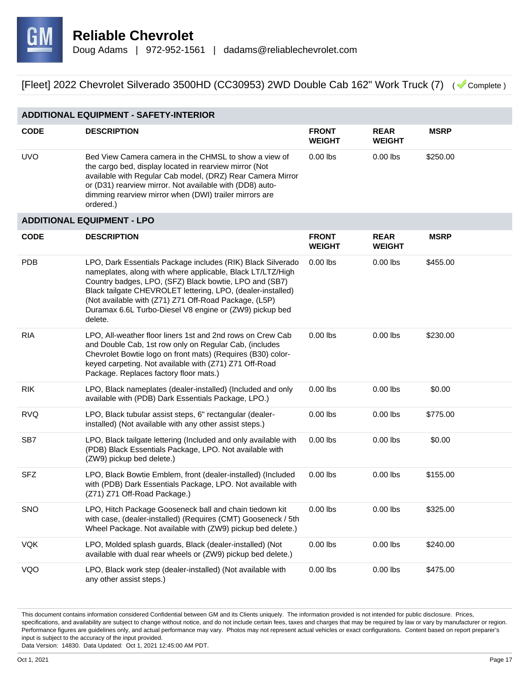

| <b>ADDITIONAL EQUIPMENT - SAFETY-INTERIOR</b> |                                                                                                                                                                                                                                                                                                                                                                                   |                               |                              |             |  |
|-----------------------------------------------|-----------------------------------------------------------------------------------------------------------------------------------------------------------------------------------------------------------------------------------------------------------------------------------------------------------------------------------------------------------------------------------|-------------------------------|------------------------------|-------------|--|
| <b>CODE</b>                                   | <b>DESCRIPTION</b>                                                                                                                                                                                                                                                                                                                                                                | <b>FRONT</b><br><b>WEIGHT</b> | <b>REAR</b><br><b>WEIGHT</b> | <b>MSRP</b> |  |
| <b>UVO</b>                                    | Bed View Camera camera in the CHMSL to show a view of<br>the cargo bed, display located in rearview mirror (Not<br>available with Regular Cab model, (DRZ) Rear Camera Mirror<br>or (D31) rearview mirror. Not available with (DD8) auto-<br>dimming rearview mirror when (DWI) trailer mirrors are<br>ordered.)                                                                  | $0.00$ lbs                    | $0.00$ lbs                   | \$250.00    |  |
|                                               | <b>ADDITIONAL EQUIPMENT - LPO</b>                                                                                                                                                                                                                                                                                                                                                 |                               |                              |             |  |
| <b>CODE</b>                                   | <b>DESCRIPTION</b>                                                                                                                                                                                                                                                                                                                                                                | <b>FRONT</b><br><b>WEIGHT</b> | <b>REAR</b><br><b>WEIGHT</b> | <b>MSRP</b> |  |
| <b>PDB</b>                                    | LPO, Dark Essentials Package includes (RIK) Black Silverado<br>nameplates, along with where applicable, Black LT/LTZ/High<br>Country badges, LPO, (SFZ) Black bowtie, LPO and (SB7)<br>Black tailgate CHEVROLET lettering, LPO, (dealer-installed)<br>(Not available with (Z71) Z71 Off-Road Package, (L5P)<br>Duramax 6.6L Turbo-Diesel V8 engine or (ZW9) pickup bed<br>delete. | $0.00$ lbs                    | $0.00$ lbs                   | \$455.00    |  |
| <b>RIA</b>                                    | LPO, All-weather floor liners 1st and 2nd rows on Crew Cab<br>and Double Cab, 1st row only on Regular Cab, (includes<br>Chevrolet Bowtie logo on front mats) (Requires (B30) color-<br>keyed carpeting. Not available with (Z71) Z71 Off-Road<br>Package. Replaces factory floor mats.)                                                                                           | $0.00$ lbs                    | $0.00$ lbs                   | \$230.00    |  |
| <b>RIK</b>                                    | LPO, Black nameplates (dealer-installed) (Included and only<br>available with (PDB) Dark Essentials Package, LPO.)                                                                                                                                                                                                                                                                | $0.00$ lbs                    | $0.00$ lbs                   | \$0.00      |  |
| <b>RVQ</b>                                    | LPO, Black tubular assist steps, 6" rectangular (dealer-<br>installed) (Not available with any other assist steps.)                                                                                                                                                                                                                                                               | $0.00$ lbs                    | $0.00$ lbs                   | \$775.00    |  |
| SB7                                           | LPO, Black tailgate lettering (Included and only available with<br>(PDB) Black Essentials Package, LPO. Not available with<br>(ZW9) pickup bed delete.)                                                                                                                                                                                                                           | $0.00$ lbs                    | $0.00$ lbs                   | \$0.00      |  |
| <b>SFZ</b>                                    | LPO, Black Bowtie Emblem, front (dealer-installed) (Included<br>with (PDB) Dark Essentials Package, LPO. Not available with<br>(Z71) Z71 Off-Road Package.)                                                                                                                                                                                                                       | $0.00$ lbs                    | $0.00$ lbs                   | \$155.00    |  |
| <b>SNO</b>                                    | LPO, Hitch Package Gooseneck ball and chain tiedown kit<br>with case, (dealer-installed) (Requires (CMT) Gooseneck / 5th<br>Wheel Package. Not available with (ZW9) pickup bed delete.)                                                                                                                                                                                           | $0.00$ lbs                    | $0.00$ lbs                   | \$325.00    |  |
| <b>VQK</b>                                    | LPO, Molded splash guards, Black (dealer-installed) (Not<br>available with dual rear wheels or (ZW9) pickup bed delete.)                                                                                                                                                                                                                                                          | $0.00$ lbs                    | $0.00$ lbs                   | \$240.00    |  |
| VQO                                           | LPO, Black work step (dealer-installed) (Not available with<br>any other assist steps.)                                                                                                                                                                                                                                                                                           | $0.00$ lbs                    | $0.00$ lbs                   | \$475.00    |  |

This document contains information considered Confidential between GM and its Clients uniquely. The information provided is not intended for public disclosure. Prices, specifications, and availability are subject to change without notice, and do not include certain fees, taxes and charges that may be required by law or vary by manufacturer or region. Performance figures are guidelines only, and actual performance may vary. Photos may not represent actual vehicles or exact configurations. Content based on report preparer's input is subject to the accuracy of the input provided.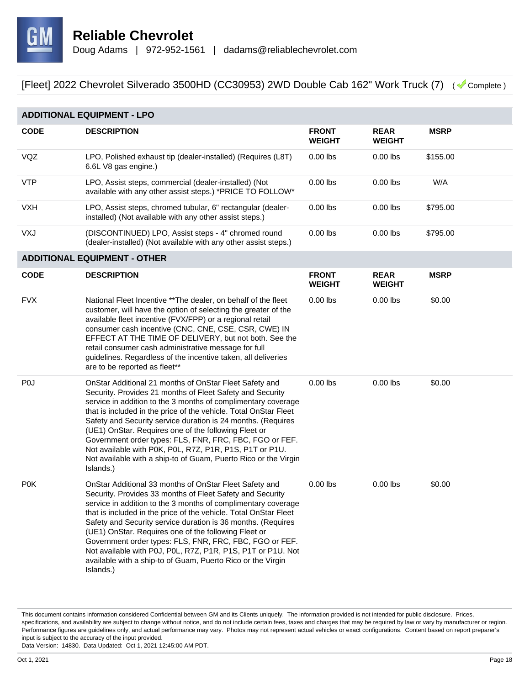

| <b>ADDITIONAL EQUIPMENT - LPO</b> |                                                                                                                                                                                                                                                                                                                                                                                                                                                                                                                                                                                        |                               |                              |             |  |
|-----------------------------------|----------------------------------------------------------------------------------------------------------------------------------------------------------------------------------------------------------------------------------------------------------------------------------------------------------------------------------------------------------------------------------------------------------------------------------------------------------------------------------------------------------------------------------------------------------------------------------------|-------------------------------|------------------------------|-------------|--|
| <b>CODE</b>                       | <b>DESCRIPTION</b>                                                                                                                                                                                                                                                                                                                                                                                                                                                                                                                                                                     | <b>FRONT</b><br><b>WEIGHT</b> | <b>REAR</b><br><b>WEIGHT</b> | <b>MSRP</b> |  |
| VQZ                               | LPO, Polished exhaust tip (dealer-installed) (Requires (L8T)<br>6.6L V8 gas engine.)                                                                                                                                                                                                                                                                                                                                                                                                                                                                                                   | $0.00$ lbs                    | $0.00$ lbs                   | \$155.00    |  |
| <b>VTP</b>                        | LPO, Assist steps, commercial (dealer-installed) (Not<br>available with any other assist steps.) *PRICE TO FOLLOW*                                                                                                                                                                                                                                                                                                                                                                                                                                                                     | $0.00$ lbs                    | $0.00$ lbs                   | W/A         |  |
| <b>VXH</b>                        | LPO, Assist steps, chromed tubular, 6" rectangular (dealer-<br>installed) (Not available with any other assist steps.)                                                                                                                                                                                                                                                                                                                                                                                                                                                                 | $0.00$ lbs                    | $0.00$ lbs                   | \$795.00    |  |
| VXJ                               | (DISCONTINUED) LPO, Assist steps - 4" chromed round<br>(dealer-installed) (Not available with any other assist steps.)                                                                                                                                                                                                                                                                                                                                                                                                                                                                 | $0.00$ lbs                    | $0.00$ lbs                   | \$795.00    |  |
|                                   | <b>ADDITIONAL EQUIPMENT - OTHER</b>                                                                                                                                                                                                                                                                                                                                                                                                                                                                                                                                                    |                               |                              |             |  |
| <b>CODE</b>                       | <b>DESCRIPTION</b>                                                                                                                                                                                                                                                                                                                                                                                                                                                                                                                                                                     | <b>FRONT</b><br><b>WEIGHT</b> | <b>REAR</b><br><b>WEIGHT</b> | <b>MSRP</b> |  |
| <b>FVX</b>                        | National Fleet Incentive ** The dealer, on behalf of the fleet<br>customer, will have the option of selecting the greater of the<br>available fleet incentive (FVX/FPP) or a regional retail<br>consumer cash incentive (CNC, CNE, CSE, CSR, CWE) IN<br>EFFECT AT THE TIME OF DELIVERY, but not both. See the<br>retail consumer cash administrative message for full<br>guidelines. Regardless of the incentive taken, all deliveries<br>are to be reported as fleet**                                                                                                                | $0.00$ lbs                    | $0.00$ lbs                   | \$0.00      |  |
| P <sub>0</sub>                    | OnStar Additional 21 months of OnStar Fleet Safety and<br>Security. Provides 21 months of Fleet Safety and Security<br>service in addition to the 3 months of complimentary coverage<br>that is included in the price of the vehicle. Total OnStar Fleet<br>Safety and Security service duration is 24 months. (Requires<br>(UE1) OnStar. Requires one of the following Fleet or<br>Government order types: FLS, FNR, FRC, FBC, FGO or FEF.<br>Not available with P0K, P0L, R7Z, P1R, P1S, P1T or P1U.<br>Not available with a ship-to of Guam, Puerto Rico or the Virgin<br>Islands.) | $0.00$ lbs                    | $0.00$ lbs                   | \$0.00      |  |
| P <sub>0</sub> K                  | OnStar Additional 33 months of OnStar Fleet Safety and<br>Security. Provides 33 months of Fleet Safety and Security<br>service in addition to the 3 months of complimentary coverage<br>that is included in the price of the vehicle. Total OnStar Fleet<br>Safety and Security service duration is 36 months. (Requires<br>(UE1) OnStar. Requires one of the following Fleet or<br>Government order types: FLS, FNR, FRC, FBC, FGO or FEF.<br>Not available with P0J, P0L, R7Z, P1R, P1S, P1T or P1U. Not<br>available with a ship-to of Guam, Puerto Rico or the Virgin<br>Islands.) | $0.00$ lbs                    | $0.00$ lbs                   | \$0.00      |  |

This document contains information considered Confidential between GM and its Clients uniquely. The information provided is not intended for public disclosure. Prices, specifications, and availability are subject to change without notice, and do not include certain fees, taxes and charges that may be required by law or vary by manufacturer or region. Performance figures are guidelines only, and actual performance may vary. Photos may not represent actual vehicles or exact configurations. Content based on report preparer's input is subject to the accuracy of the input provided.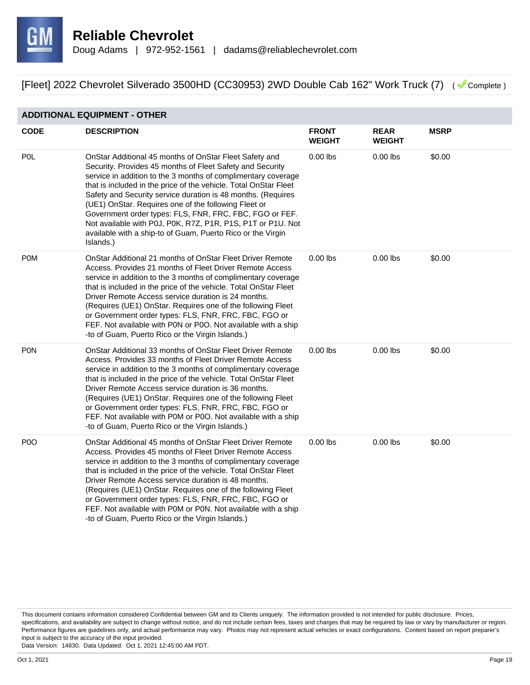

#### **ADDITIONAL EQUIPMENT - OTHER**

| <b>CODE</b>      | <b>DESCRIPTION</b>                                                                                                                                                                                                                                                                                                                                                                                                                                                                                                                                                                     | <b>FRONT</b><br><b>WEIGHT</b> | <b>REAR</b><br><b>WEIGHT</b> | <b>MSRP</b> |
|------------------|----------------------------------------------------------------------------------------------------------------------------------------------------------------------------------------------------------------------------------------------------------------------------------------------------------------------------------------------------------------------------------------------------------------------------------------------------------------------------------------------------------------------------------------------------------------------------------------|-------------------------------|------------------------------|-------------|
| <b>POL</b>       | OnStar Additional 45 months of OnStar Fleet Safety and<br>Security. Provides 45 months of Fleet Safety and Security<br>service in addition to the 3 months of complimentary coverage<br>that is included in the price of the vehicle. Total OnStar Fleet<br>Safety and Security service duration is 48 months. (Requires<br>(UE1) OnStar. Requires one of the following Fleet or<br>Government order types: FLS, FNR, FRC, FBC, FGO or FEF.<br>Not available with P0J, P0K, R7Z, P1R, P1S, P1T or P1U. Not<br>available with a ship-to of Guam, Puerto Rico or the Virgin<br>Islands.) | $0.00$ lbs                    | $0.00$ lbs                   | \$0.00      |
| <b>POM</b>       | OnStar Additional 21 months of OnStar Fleet Driver Remote<br>Access. Provides 21 months of Fleet Driver Remote Access<br>service in addition to the 3 months of complimentary coverage<br>that is included in the price of the vehicle. Total OnStar Fleet<br>Driver Remote Access service duration is 24 months.<br>(Requires (UE1) OnStar. Requires one of the following Fleet<br>or Government order types: FLS, FNR, FRC, FBC, FGO or<br>FEF. Not available with P0N or P0O. Not available with a ship<br>-to of Guam, Puerto Rico or the Virgin Islands.)                         | $0.00$ lbs                    | $0.00$ lbs                   | \$0.00      |
| PON              | OnStar Additional 33 months of OnStar Fleet Driver Remote<br>Access. Provides 33 months of Fleet Driver Remote Access<br>service in addition to the 3 months of complimentary coverage<br>that is included in the price of the vehicle. Total OnStar Fleet<br>Driver Remote Access service duration is 36 months.<br>(Requires (UE1) OnStar. Requires one of the following Fleet<br>or Government order types: FLS, FNR, FRC, FBC, FGO or<br>FEF. Not available with P0M or P0O. Not available with a ship<br>-to of Guam, Puerto Rico or the Virgin Islands.)                         | $0.00$ lbs                    | $0.00$ lbs                   | \$0.00      |
| P <sub>0</sub> O | OnStar Additional 45 months of OnStar Fleet Driver Remote<br>Access. Provides 45 months of Fleet Driver Remote Access<br>service in addition to the 3 months of complimentary coverage<br>that is included in the price of the vehicle. Total OnStar Fleet<br>Driver Remote Access service duration is 48 months.<br>(Requires (UE1) OnStar. Requires one of the following Fleet<br>or Government order types: FLS, FNR, FRC, FBC, FGO or<br>FEF. Not available with P0M or P0N. Not available with a ship<br>-to of Guam, Puerto Rico or the Virgin Islands.)                         | $0.00$ lbs                    | $0.00$ lbs                   | \$0.00      |

This document contains information considered Confidential between GM and its Clients uniquely. The information provided is not intended for public disclosure. Prices, specifications, and availability are subject to change without notice, and do not include certain fees, taxes and charges that may be required by law or vary by manufacturer or region. Performance figures are guidelines only, and actual performance may vary. Photos may not represent actual vehicles or exact configurations. Content based on report preparer's input is subject to the accuracy of the input provided.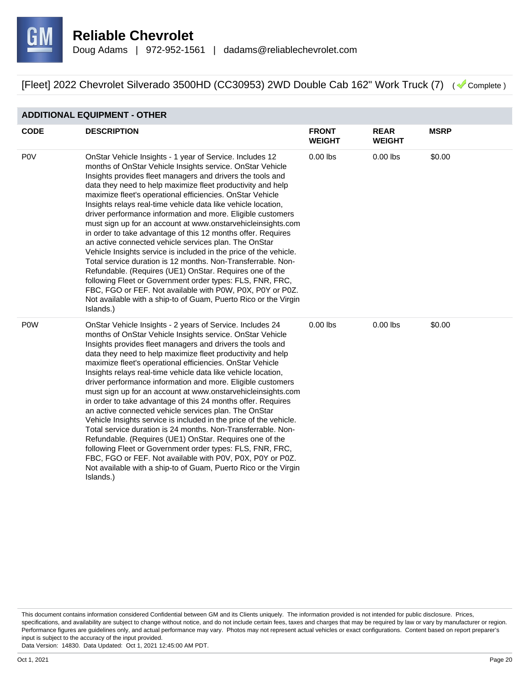

#### **ADDITIONAL EQUIPMENT - OTHER**

| <b>CODE</b> | <b>DESCRIPTION</b>                                                                                                                                                                                                                                                                                                                                                                                                                                                                                                                                                                                                                                                                                                                                                                                                                                                                                                                                                                                                                                  | <b>FRONT</b><br><b>WEIGHT</b> | <b>REAR</b><br><b>WEIGHT</b> | <b>MSRP</b> |
|-------------|-----------------------------------------------------------------------------------------------------------------------------------------------------------------------------------------------------------------------------------------------------------------------------------------------------------------------------------------------------------------------------------------------------------------------------------------------------------------------------------------------------------------------------------------------------------------------------------------------------------------------------------------------------------------------------------------------------------------------------------------------------------------------------------------------------------------------------------------------------------------------------------------------------------------------------------------------------------------------------------------------------------------------------------------------------|-------------------------------|------------------------------|-------------|
| <b>POV</b>  | OnStar Vehicle Insights - 1 year of Service. Includes 12<br>months of OnStar Vehicle Insights service. OnStar Vehicle<br>Insights provides fleet managers and drivers the tools and<br>data they need to help maximize fleet productivity and help<br>maximize fleet's operational efficiencies. OnStar Vehicle<br>Insights relays real-time vehicle data like vehicle location,<br>driver performance information and more. Eligible customers<br>must sign up for an account at www.onstarvehicleinsights.com<br>in order to take advantage of this 12 months offer. Requires<br>an active connected vehicle services plan. The OnStar<br>Vehicle Insights service is included in the price of the vehicle.<br>Total service duration is 12 months. Non-Transferrable. Non-<br>Refundable. (Requires (UE1) OnStar. Requires one of the<br>following Fleet or Government order types: FLS, FNR, FRC,<br>FBC, FGO or FEF. Not available with P0W, P0X, P0Y or P0Z.<br>Not available with a ship-to of Guam, Puerto Rico or the Virgin<br>Islands.)  | $0.00$ lbs                    | $0.00$ lbs                   | \$0.00      |
| <b>POW</b>  | OnStar Vehicle Insights - 2 years of Service. Includes 24<br>months of OnStar Vehicle Insights service. OnStar Vehicle<br>Insights provides fleet managers and drivers the tools and<br>data they need to help maximize fleet productivity and help<br>maximize fleet's operational efficiencies. OnStar Vehicle<br>Insights relays real-time vehicle data like vehicle location,<br>driver performance information and more. Eligible customers<br>must sign up for an account at www.onstarvehicleinsights.com<br>in order to take advantage of this 24 months offer. Requires<br>an active connected vehicle services plan. The OnStar<br>Vehicle Insights service is included in the price of the vehicle.<br>Total service duration is 24 months. Non-Transferrable. Non-<br>Refundable. (Requires (UE1) OnStar. Requires one of the<br>following Fleet or Government order types: FLS, FNR, FRC,<br>FBC, FGO or FEF. Not available with P0V, P0X, P0Y or P0Z.<br>Not available with a ship-to of Guam, Puerto Rico or the Virgin<br>Islands.) | $0.00$ lbs                    | $0.00$ lbs                   | \$0.00      |

This document contains information considered Confidential between GM and its Clients uniquely. The information provided is not intended for public disclosure. Prices, specifications, and availability are subject to change without notice, and do not include certain fees, taxes and charges that may be required by law or vary by manufacturer or region. Performance figures are guidelines only, and actual performance may vary. Photos may not represent actual vehicles or exact configurations. Content based on report preparer's input is subject to the accuracy of the input provided.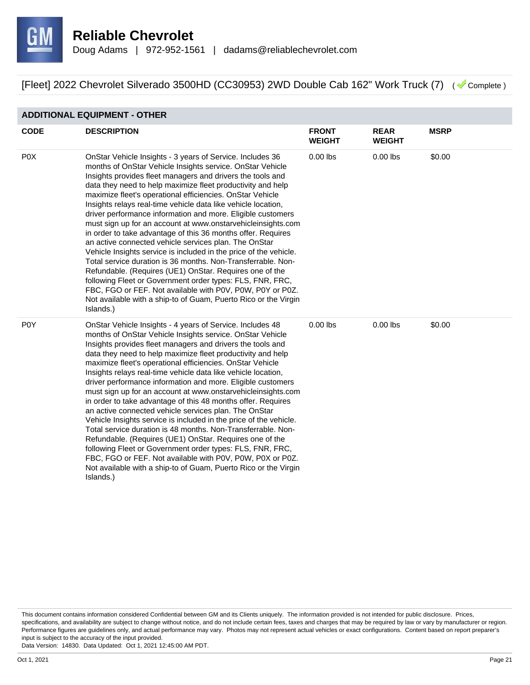

#### **ADDITIONAL EQUIPMENT - OTHER**

| <b>CODE</b>      | <b>DESCRIPTION</b>                                                                                                                                                                                                                                                                                                                                                                                                                                                                                                                                                                                                                                                                                                                                                                                                                                                                                                                                                                                                                                  | <b>FRONT</b><br><b>WEIGHT</b> | <b>REAR</b><br><b>WEIGHT</b> | <b>MSRP</b> |
|------------------|-----------------------------------------------------------------------------------------------------------------------------------------------------------------------------------------------------------------------------------------------------------------------------------------------------------------------------------------------------------------------------------------------------------------------------------------------------------------------------------------------------------------------------------------------------------------------------------------------------------------------------------------------------------------------------------------------------------------------------------------------------------------------------------------------------------------------------------------------------------------------------------------------------------------------------------------------------------------------------------------------------------------------------------------------------|-------------------------------|------------------------------|-------------|
| P <sub>0</sub> X | OnStar Vehicle Insights - 3 years of Service. Includes 36<br>months of OnStar Vehicle Insights service. OnStar Vehicle<br>Insights provides fleet managers and drivers the tools and<br>data they need to help maximize fleet productivity and help<br>maximize fleet's operational efficiencies. OnStar Vehicle<br>Insights relays real-time vehicle data like vehicle location,<br>driver performance information and more. Eligible customers<br>must sign up for an account at www.onstarvehicleinsights.com<br>in order to take advantage of this 36 months offer. Requires<br>an active connected vehicle services plan. The OnStar<br>Vehicle Insights service is included in the price of the vehicle.<br>Total service duration is 36 months. Non-Transferrable. Non-<br>Refundable. (Requires (UE1) OnStar. Requires one of the<br>following Fleet or Government order types: FLS, FNR, FRC,<br>FBC, FGO or FEF. Not available with P0V, P0W, P0Y or P0Z.<br>Not available with a ship-to of Guam, Puerto Rico or the Virgin<br>Islands.) | $0.00$ lbs                    | $0.00$ lbs                   | \$0.00      |
| P <sub>0</sub> Y | OnStar Vehicle Insights - 4 years of Service. Includes 48<br>months of OnStar Vehicle Insights service. OnStar Vehicle<br>Insights provides fleet managers and drivers the tools and<br>data they need to help maximize fleet productivity and help<br>maximize fleet's operational efficiencies. OnStar Vehicle<br>Insights relays real-time vehicle data like vehicle location,<br>driver performance information and more. Eligible customers<br>must sign up for an account at www.onstarvehicleinsights.com<br>in order to take advantage of this 48 months offer. Requires<br>an active connected vehicle services plan. The OnStar<br>Vehicle Insights service is included in the price of the vehicle.<br>Total service duration is 48 months. Non-Transferrable. Non-<br>Refundable. (Requires (UE1) OnStar. Requires one of the<br>following Fleet or Government order types: FLS, FNR, FRC,<br>FBC, FGO or FEF. Not available with P0V, P0W, P0X or P0Z.<br>Not available with a ship-to of Guam, Puerto Rico or the Virgin<br>Islands.) | $0.00$ lbs                    | $0.00$ lbs                   | \$0.00      |

This document contains information considered Confidential between GM and its Clients uniquely. The information provided is not intended for public disclosure. Prices, specifications, and availability are subject to change without notice, and do not include certain fees, taxes and charges that may be required by law or vary by manufacturer or region. Performance figures are guidelines only, and actual performance may vary. Photos may not represent actual vehicles or exact configurations. Content based on report preparer's input is subject to the accuracy of the input provided.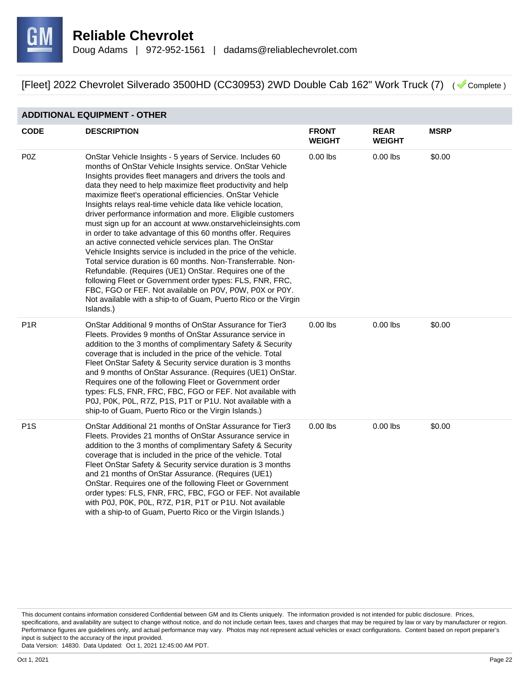

#### **ADDITIONAL EQUIPMENT - OTHER**

| <b>CODE</b>      | <b>DESCRIPTION</b>                                                                                                                                                                                                                                                                                                                                                                                                                                                                                                                                                                                                                                                                                                                                                                                                                                                                                                                                                                                                                                | <b>FRONT</b><br><b>WEIGHT</b> | <b>REAR</b><br><b>WEIGHT</b> | <b>MSRP</b> |
|------------------|---------------------------------------------------------------------------------------------------------------------------------------------------------------------------------------------------------------------------------------------------------------------------------------------------------------------------------------------------------------------------------------------------------------------------------------------------------------------------------------------------------------------------------------------------------------------------------------------------------------------------------------------------------------------------------------------------------------------------------------------------------------------------------------------------------------------------------------------------------------------------------------------------------------------------------------------------------------------------------------------------------------------------------------------------|-------------------------------|------------------------------|-------------|
| P <sub>0</sub> Z | OnStar Vehicle Insights - 5 years of Service. Includes 60<br>months of OnStar Vehicle Insights service. OnStar Vehicle<br>Insights provides fleet managers and drivers the tools and<br>data they need to help maximize fleet productivity and help<br>maximize fleet's operational efficiencies. OnStar Vehicle<br>Insights relays real-time vehicle data like vehicle location,<br>driver performance information and more. Eligible customers<br>must sign up for an account at www.onstarvehicleinsights.com<br>in order to take advantage of this 60 months offer. Requires<br>an active connected vehicle services plan. The OnStar<br>Vehicle Insights service is included in the price of the vehicle.<br>Total service duration is 60 months. Non-Transferrable. Non-<br>Refundable. (Requires (UE1) OnStar. Requires one of the<br>following Fleet or Government order types: FLS, FNR, FRC,<br>FBC, FGO or FEF. Not available on P0V, P0W, P0X or P0Y.<br>Not available with a ship-to of Guam, Puerto Rico or the Virgin<br>Islands.) | $0.00$ lbs                    | $0.00$ lbs                   | \$0.00      |
| P <sub>1R</sub>  | OnStar Additional 9 months of OnStar Assurance for Tier3<br>Fleets. Provides 9 months of OnStar Assurance service in<br>addition to the 3 months of complimentary Safety & Security<br>coverage that is included in the price of the vehicle. Total<br>Fleet OnStar Safety & Security service duration is 3 months<br>and 9 months of OnStar Assurance. (Requires (UE1) OnStar.<br>Requires one of the following Fleet or Government order<br>types: FLS, FNR, FRC, FBC, FGO or FEF. Not available with<br>P0J, P0K, P0L, R7Z, P1S, P1T or P1U. Not available with a<br>ship-to of Guam, Puerto Rico or the Virgin Islands.)                                                                                                                                                                                                                                                                                                                                                                                                                      | $0.00$ lbs                    | $0.00$ lbs                   | \$0.00      |
| P <sub>1</sub> S | OnStar Additional 21 months of OnStar Assurance for Tier3<br>Fleets. Provides 21 months of OnStar Assurance service in<br>addition to the 3 months of complimentary Safety & Security<br>coverage that is included in the price of the vehicle. Total<br>Fleet OnStar Safety & Security service duration is 3 months<br>and 21 months of OnStar Assurance. (Requires (UE1)<br>OnStar. Requires one of the following Fleet or Government<br>order types: FLS, FNR, FRC, FBC, FGO or FEF. Not available<br>with P0J, P0K, P0L, R7Z, P1R, P1T or P1U. Not available<br>with a ship-to of Guam, Puerto Rico or the Virgin Islands.)                                                                                                                                                                                                                                                                                                                                                                                                                   | $0.00$ lbs                    | $0.00$ lbs                   | \$0.00      |

This document contains information considered Confidential between GM and its Clients uniquely. The information provided is not intended for public disclosure. Prices, specifications, and availability are subject to change without notice, and do not include certain fees, taxes and charges that may be required by law or vary by manufacturer or region. Performance figures are guidelines only, and actual performance may vary. Photos may not represent actual vehicles or exact configurations. Content based on report preparer's input is subject to the accuracy of the input provided.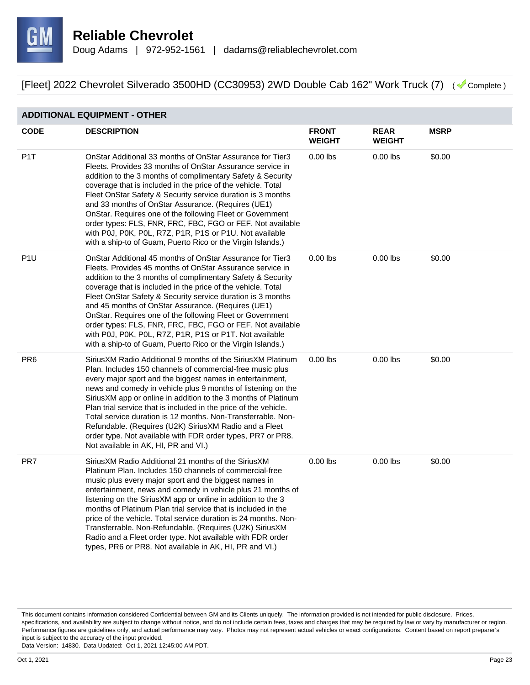

#### **ADDITIONAL EQUIPMENT - OTHER**

| <b>CODE</b>      | <b>DESCRIPTION</b>                                                                                                                                                                                                                                                                                                                                                                                                                                                                                                                                                                                                              | <b>FRONT</b><br><b>WEIGHT</b> | <b>REAR</b><br><b>WEIGHT</b> | <b>MSRP</b> |
|------------------|---------------------------------------------------------------------------------------------------------------------------------------------------------------------------------------------------------------------------------------------------------------------------------------------------------------------------------------------------------------------------------------------------------------------------------------------------------------------------------------------------------------------------------------------------------------------------------------------------------------------------------|-------------------------------|------------------------------|-------------|
| P <sub>1</sub> T | OnStar Additional 33 months of OnStar Assurance for Tier3<br>Fleets. Provides 33 months of OnStar Assurance service in<br>addition to the 3 months of complimentary Safety & Security<br>coverage that is included in the price of the vehicle. Total<br>Fleet OnStar Safety & Security service duration is 3 months<br>and 33 months of OnStar Assurance. (Requires (UE1)<br>OnStar. Requires one of the following Fleet or Government<br>order types: FLS, FNR, FRC, FBC, FGO or FEF. Not available<br>with P0J, P0K, P0L, R7Z, P1R, P1S or P1U. Not available<br>with a ship-to of Guam, Puerto Rico or the Virgin Islands.) | $0.00$ lbs                    | $0.00$ lbs                   | \$0.00      |
| P <sub>1U</sub>  | OnStar Additional 45 months of OnStar Assurance for Tier3<br>Fleets. Provides 45 months of OnStar Assurance service in<br>addition to the 3 months of complimentary Safety & Security<br>coverage that is included in the price of the vehicle. Total<br>Fleet OnStar Safety & Security service duration is 3 months<br>and 45 months of OnStar Assurance. (Requires (UE1)<br>OnStar. Requires one of the following Fleet or Government<br>order types: FLS, FNR, FRC, FBC, FGO or FEF. Not available<br>with P0J, P0K, P0L, R7Z, P1R, P1S or P1T. Not available<br>with a ship-to of Guam, Puerto Rico or the Virgin Islands.) | $0.00$ lbs                    | $0.00$ lbs                   | \$0.00      |
| PR <sub>6</sub>  | SiriusXM Radio Additional 9 months of the SiriusXM Platinum<br>Plan. Includes 150 channels of commercial-free music plus<br>every major sport and the biggest names in entertainment,<br>news and comedy in vehicle plus 9 months of listening on the<br>SiriusXM app or online in addition to the 3 months of Platinum<br>Plan trial service that is included in the price of the vehicle.<br>Total service duration is 12 months. Non-Transferrable. Non-<br>Refundable. (Requires (U2K) SiriusXM Radio and a Fleet<br>order type. Not available with FDR order types, PR7 or PR8.<br>Not available in AK, HI, PR and VI.)    | $0.00$ lbs                    | $0.00$ lbs                   | \$0.00      |
| PR7              | SiriusXM Radio Additional 21 months of the SiriusXM<br>Platinum Plan. Includes 150 channels of commercial-free<br>music plus every major sport and the biggest names in<br>entertainment, news and comedy in vehicle plus 21 months of<br>listening on the SiriusXM app or online in addition to the 3<br>months of Platinum Plan trial service that is included in the<br>price of the vehicle. Total service duration is 24 months. Non-<br>Transferrable. Non-Refundable. (Requires (U2K) SiriusXM<br>Radio and a Fleet order type. Not available with FDR order<br>types, PR6 or PR8. Not available in AK, HI, PR and VI.)  | $0.00$ lbs                    | $0.00$ lbs                   | \$0.00      |

This document contains information considered Confidential between GM and its Clients uniquely. The information provided is not intended for public disclosure. Prices, specifications, and availability are subject to change without notice, and do not include certain fees, taxes and charges that may be required by law or vary by manufacturer or region. Performance figures are guidelines only, and actual performance may vary. Photos may not represent actual vehicles or exact configurations. Content based on report preparer's input is subject to the accuracy of the input provided.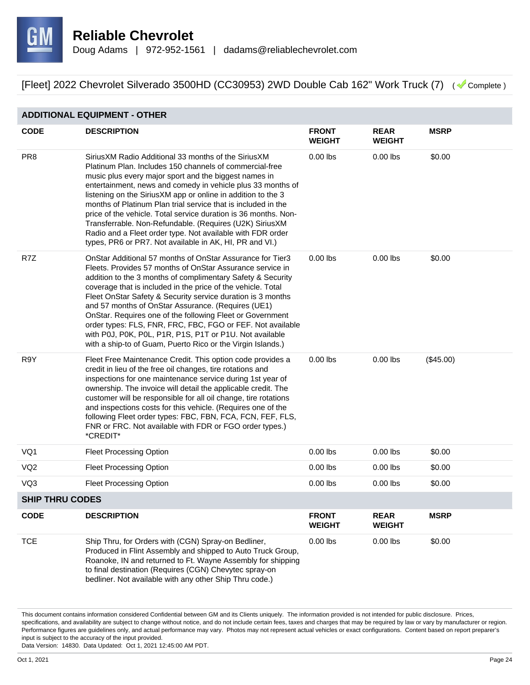

#### **ADDITIONAL EQUIPMENT - OTHER**

| <b>CODE</b>            | <b>DESCRIPTION</b>                                                                                                                                                                                                                                                                                                                                                                                                                                                                                                                                                                                                               | <b>FRONT</b><br><b>WEIGHT</b> | <b>REAR</b><br><b>WEIGHT</b> | <b>MSRP</b> |
|------------------------|----------------------------------------------------------------------------------------------------------------------------------------------------------------------------------------------------------------------------------------------------------------------------------------------------------------------------------------------------------------------------------------------------------------------------------------------------------------------------------------------------------------------------------------------------------------------------------------------------------------------------------|-------------------------------|------------------------------|-------------|
| PR <sub>8</sub>        | Sirius XM Radio Additional 33 months of the Sirius XM<br>Platinum Plan. Includes 150 channels of commercial-free<br>music plus every major sport and the biggest names in<br>entertainment, news and comedy in vehicle plus 33 months of<br>listening on the SiriusXM app or online in addition to the 3<br>months of Platinum Plan trial service that is included in the<br>price of the vehicle. Total service duration is 36 months. Non-<br>Transferrable. Non-Refundable. (Requires (U2K) SiriusXM<br>Radio and a Fleet order type. Not available with FDR order<br>types, PR6 or PR7. Not available in AK, HI, PR and VI.) | $0.00$ lbs                    | $0.00$ lbs                   | \$0.00      |
| R7Z                    | OnStar Additional 57 months of OnStar Assurance for Tier3<br>Fleets. Provides 57 months of OnStar Assurance service in<br>addition to the 3 months of complimentary Safety & Security<br>coverage that is included in the price of the vehicle. Total<br>Fleet OnStar Safety & Security service duration is 3 months<br>and 57 months of OnStar Assurance. (Requires (UE1)<br>OnStar. Requires one of the following Fleet or Government<br>order types: FLS, FNR, FRC, FBC, FGO or FEF. Not available<br>with P0J, P0K, P0L, P1R, P1S, P1T or P1U. Not available<br>with a ship-to of Guam, Puerto Rico or the Virgin Islands.)  | $0.00$ lbs                    | $0.00$ lbs                   | \$0.00      |
| R9Y                    | Fleet Free Maintenance Credit. This option code provides a<br>credit in lieu of the free oil changes, tire rotations and<br>inspections for one maintenance service during 1st year of<br>ownership. The invoice will detail the applicable credit. The<br>customer will be responsible for all oil change, tire rotations<br>and inspections costs for this vehicle. (Requires one of the<br>following Fleet order types: FBC, FBN, FCA, FCN, FEF, FLS,<br>FNR or FRC. Not available with FDR or FGO order types.)<br>*CREDIT*                                                                                                  | $0.00$ lbs                    | $0.00$ lbs                   | (\$45.00)   |
| VQ1                    | <b>Fleet Processing Option</b>                                                                                                                                                                                                                                                                                                                                                                                                                                                                                                                                                                                                   | $0.00$ lbs                    | $0.00$ lbs                   | \$0.00      |
| VQ <sub>2</sub>        | <b>Fleet Processing Option</b>                                                                                                                                                                                                                                                                                                                                                                                                                                                                                                                                                                                                   | $0.00$ lbs                    | $0.00$ lbs                   | \$0.00      |
| VQ3                    | <b>Fleet Processing Option</b>                                                                                                                                                                                                                                                                                                                                                                                                                                                                                                                                                                                                   | $0.00$ lbs                    | $0.00$ lbs                   | \$0.00      |
| <b>SHIP THRU CODES</b> |                                                                                                                                                                                                                                                                                                                                                                                                                                                                                                                                                                                                                                  |                               |                              |             |
| <b>CODE</b>            | <b>DESCRIPTION</b>                                                                                                                                                                                                                                                                                                                                                                                                                                                                                                                                                                                                               | <b>FRONT</b><br><b>WEIGHT</b> | <b>REAR</b><br><b>WEIGHT</b> | <b>MSRP</b> |
| <b>TCE</b>             | Ship Thru, for Orders with (CGN) Spray-on Bedliner,<br>Produced in Flint Assembly and shipped to Auto Truck Group,<br>Roanoke, IN and returned to Ft. Wayne Assembly for shipping<br>to final destination (Requires (CGN) Chevytec spray-on<br>bedliner. Not available with any other Ship Thru code.)                                                                                                                                                                                                                                                                                                                           | $0.00$ lbs                    | $0.00$ lbs                   | \$0.00      |

This document contains information considered Confidential between GM and its Clients uniquely. The information provided is not intended for public disclosure. Prices, specifications, and availability are subject to change without notice, and do not include certain fees, taxes and charges that may be required by law or vary by manufacturer or region. Performance figures are guidelines only, and actual performance may vary. Photos may not represent actual vehicles or exact configurations. Content based on report preparer's input is subject to the accuracy of the input provided.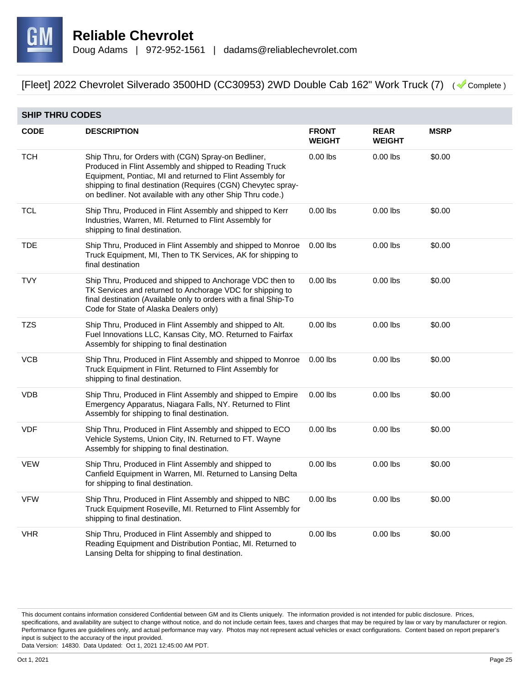

| <b>SHIP THRU CODES</b> |                                                                                                                                                                                                                                                                                                            |                               |                              |             |  |
|------------------------|------------------------------------------------------------------------------------------------------------------------------------------------------------------------------------------------------------------------------------------------------------------------------------------------------------|-------------------------------|------------------------------|-------------|--|
| <b>CODE</b>            | <b>DESCRIPTION</b>                                                                                                                                                                                                                                                                                         | <b>FRONT</b><br><b>WEIGHT</b> | <b>REAR</b><br><b>WEIGHT</b> | <b>MSRP</b> |  |
| <b>TCH</b>             | Ship Thru, for Orders with (CGN) Spray-on Bedliner,<br>Produced in Flint Assembly and shipped to Reading Truck<br>Equipment, Pontiac, MI and returned to Flint Assembly for<br>shipping to final destination (Requires (CGN) Chevytec spray-<br>on bedliner. Not available with any other Ship Thru code.) | $0.00$ lbs                    | $0.00$ lbs                   | \$0.00      |  |
| <b>TCL</b>             | Ship Thru, Produced in Flint Assembly and shipped to Kerr<br>Industries, Warren, MI. Returned to Flint Assembly for<br>shipping to final destination.                                                                                                                                                      | $0.00$ lbs                    | $0.00$ lbs                   | \$0.00      |  |
| <b>TDE</b>             | Ship Thru, Produced in Flint Assembly and shipped to Monroe<br>Truck Equipment, MI, Then to TK Services, AK for shipping to<br>final destination                                                                                                                                                           | $0.00$ lbs                    | $0.00$ lbs                   | \$0.00      |  |
| <b>TVY</b>             | Ship Thru, Produced and shipped to Anchorage VDC then to<br>TK Services and returned to Anchorage VDC for shipping to<br>final destination (Available only to orders with a final Ship-To<br>Code for State of Alaska Dealers only)                                                                        | $0.00$ lbs                    | $0.00$ lbs                   | \$0.00      |  |
| TZS                    | Ship Thru, Produced in Flint Assembly and shipped to Alt.<br>Fuel Innovations LLC, Kansas City, MO. Returned to Fairfax<br>Assembly for shipping to final destination                                                                                                                                      | $0.00$ lbs                    | $0.00$ lbs                   | \$0.00      |  |
| <b>VCB</b>             | Ship Thru, Produced in Flint Assembly and shipped to Monroe<br>Truck Equipment in Flint. Returned to Flint Assembly for<br>shipping to final destination.                                                                                                                                                  | $0.00$ lbs                    | $0.00$ lbs                   | \$0.00      |  |
| <b>VDB</b>             | Ship Thru, Produced in Flint Assembly and shipped to Empire<br>Emergency Apparatus, Niagara Falls, NY. Returned to Flint<br>Assembly for shipping to final destination.                                                                                                                                    | $0.00$ lbs                    | $0.00$ lbs                   | \$0.00      |  |
| <b>VDF</b>             | Ship Thru, Produced in Flint Assembly and shipped to ECO<br>Vehicle Systems, Union City, IN. Returned to FT. Wayne<br>Assembly for shipping to final destination.                                                                                                                                          | $0.00$ lbs                    | $0.00$ lbs                   | \$0.00      |  |
| <b>VEW</b>             | Ship Thru, Produced in Flint Assembly and shipped to<br>Canfield Equipment in Warren, MI. Returned to Lansing Delta<br>for shipping to final destination.                                                                                                                                                  | $0.00$ lbs                    | $0.00$ lbs                   | \$0.00      |  |
| <b>VFW</b>             | Ship Thru, Produced in Flint Assembly and shipped to NBC<br>Truck Equipment Roseville, MI. Returned to Flint Assembly for<br>shipping to final destination.                                                                                                                                                | $0.00$ lbs                    | $0.00$ lbs                   | \$0.00      |  |
| <b>VHR</b>             | Ship Thru, Produced in Flint Assembly and shipped to<br>Reading Equipment and Distribution Pontiac, MI. Returned to<br>Lansing Delta for shipping to final destination.                                                                                                                                    | $0.00$ lbs                    | $0.00$ lbs                   | \$0.00      |  |

This document contains information considered Confidential between GM and its Clients uniquely. The information provided is not intended for public disclosure. Prices, specifications, and availability are subject to change without notice, and do not include certain fees, taxes and charges that may be required by law or vary by manufacturer or region. Performance figures are guidelines only, and actual performance may vary. Photos may not represent actual vehicles or exact configurations. Content based on report preparer's input is subject to the accuracy of the input provided.